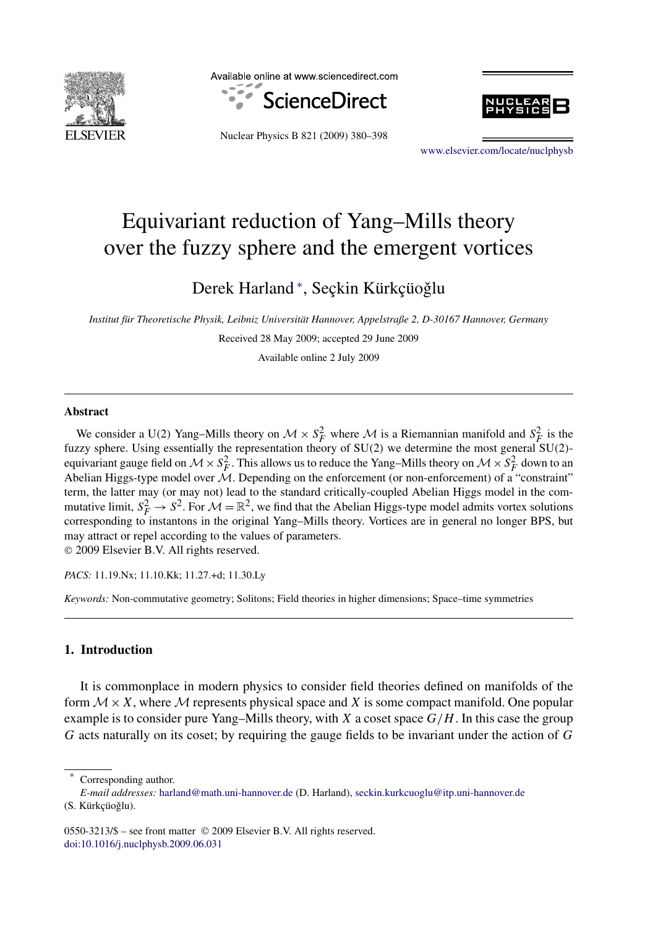

Available online at www.sciencedirect.com







[www.elsevier.com/locate/nuclphysb](http://www.elsevier.com/locate/nuclphysb)

# Equivariant reduction of Yang–Mills theory over the fuzzy sphere and the emergent vortices

Derek Harland \*, Seçkin Kürkçüoğlu

*Institut für Theoretische Physik, Leibniz Universität Hannover, Appelstraße 2, D-30167 Hannover, Germany*

Received 28 May 2009; accepted 29 June 2009 Available online 2 July 2009

**Abstract**

We consider a U(2) Yang–Mills theory on  $M \times S_F^2$  where M is a Riemannian manifold and  $S_F^2$  is the fuzzy sphere. Using essentially the representation theory of SU*(*2*)* we determine the most general SU*(*2*)* equivariant gauge field on  $M \times S_F^2$ . This allows us to reduce the Yang–Mills theory on  $M \times S_F^2$  down to an Abelian Higgs-type model over  $\dot{M}$ . Depending on the enforcement (or non-enforcement) of a "constraint" term, the latter may (or may not) lead to the standard critically-coupled Abelian Higgs model in the commutative limit,  $S_F^2 \to S^2$ . For  $\mathcal{M} = \mathbb{R}^2$ , we find that the Abelian Higgs-type model admits vortex solutions corresponding to instantons in the original Yang–Mills theory. Vortices are in general no longer BPS, but may attract or repel according to the values of parameters.

© 2009 Elsevier B.V. All rights reserved.

*PACS:* 11.19.Nx; 11.10.Kk; 11.27.+d; 11.30.Ly

*Keywords:* Non-commutative geometry; Solitons; Field theories in higher dimensions; Space–time symmetries

### **1. Introduction**

It is commonplace in modern physics to consider field theories defined on manifolds of the form  $M \times X$ , where M represents physical space and X is some compact manifold. One popular example is to consider pure Yang–Mills theory, with *X* a coset space *G/H*. In this case the group *G* acts naturally on its coset; by requiring the gauge fields to be invariant under the action of *G*

Corresponding author.

*E-mail addresses:* [harland@math.uni-hannover.de](mailto:harland@math.uni-hannover.de) (D. Harland), [seckin.kurkcuoglu@itp.uni-hannover.de](mailto:seckin.kurkcuoglu@itp.uni-hannover.de) (S. Kürkçüoğlu).

<sup>0550-3213/\$ –</sup> see front matter © 2009 Elsevier B.V. All rights reserved. [doi:10.1016/j.nuclphysb.2009.06.031](http://dx.doi.org/10.1016/j.nuclphysb.2009.06.031)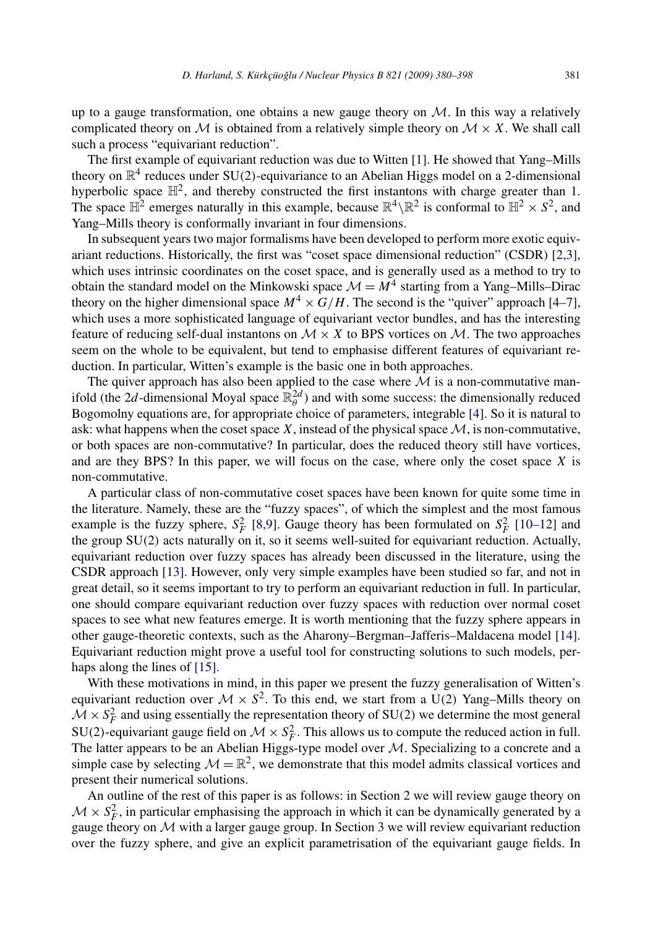up to a gauge transformation, one obtains a new gauge theory on  $M$ . In this way a relatively complicated theory on M is obtained from a relatively simple theory on  $M \times X$ . We shall call such a process "equivariant reduction".

The first example of equivariant reduction was due to Witten [\[1\].](#page-17-0) He showed that Yang–Mills theory on  $\mathbb{R}^4$  reduces under SU(2)-equivariance to an Abelian Higgs model on a 2-dimensional hyperbolic space  $\mathbb{H}^2$ , and thereby constructed the first instantons with charge greater than 1. The space  $\mathbb{H}^2$  emerges naturally in this example, because  $\mathbb{R}^4 \setminus \mathbb{R}^2$  is conformal to  $\mathbb{H}^2 \times S^2$ , and Yang–Mills theory is conformally invariant in four dimensions.

In subsequent years two major formalisms have been developed to perform more exotic equivariant reductions. Historically, the first was "coset space dimensional reduction" (CSDR) [\[2,3\],](#page-17-0) which uses intrinsic coordinates on the coset space, and is generally used as a method to try to obtain the standard model on the Minkowski space  $\mathcal{M} = M^4$  starting from a Yang–Mills–Dirac theory on the higher dimensional space  $M^4 \times G/H$ . The second is the "quiver" approach [\[4–7\],](#page-17-0) which uses a more sophisticated language of equivariant vector bundles, and has the interesting feature of reducing self-dual instantons on  $M \times X$  to BPS vortices on M. The two approaches seem on the whole to be equivalent, but tend to emphasise different features of equivariant reduction. In particular, Witten's example is the basic one in both approaches.

The quiver approach has also been applied to the case where  $M$  is a non-commutative manifold (the 2*d*-dimensional Moyal space  $\mathbb{R}_{\theta}^{2d}$ ) and with some success: the dimensionally reduced Bogomolny equations are, for appropriate choice of parameters, integrable [\[4\].](#page-17-0) So it is natural to ask: what happens when the coset space  $X$ , instead of the physical space  $M$ , is non-commutative, or both spaces are non-commutative? In particular, does the reduced theory still have vortices, and are they BPS? In this paper, we will focus on the case, where only the coset space *X* is non-commutative.

A particular class of non-commutative coset spaces have been known for quite some time in the literature. Namely, these are the "fuzzy spaces", of which the simplest and the most famous example is the fuzzy sphere,  $S_F^2$  [\[8,9\].](#page-17-0) Gauge theory has been formulated on  $S_F^2$  [\[10–12\]](#page-17-0) and the group SU*(*2*)* acts naturally on it, so it seems well-suited for equivariant reduction. Actually, equivariant reduction over fuzzy spaces has already been discussed in the literature, using the CSDR approach [\[13\].](#page-17-0) However, only very simple examples have been studied so far, and not in great detail, so it seems important to try to perform an equivariant reduction in full. In particular, one should compare equivariant reduction over fuzzy spaces with reduction over normal coset spaces to see what new features emerge. It is worth mentioning that the fuzzy sphere appears in other gauge-theoretic contexts, such as the Aharony–Bergman–Jafferis–Maldacena model [\[14\].](#page-17-0) Equivariant reduction might prove a useful tool for constructing solutions to such models, per-haps along the lines of [\[15\].](#page-17-0)

With these motivations in mind, in this paper we present the fuzzy generalisation of Witten's equivariant reduction over  $M \times S^2$ . To this end, we start from a U(2) Yang–Mills theory on  $M \times S_F^2$  and using essentially the representation theory of SU(2) we determine the most general SU(2)-equivariant gauge field on  $M \times S_F^2$ . This allows us to compute the reduced action in full. The latter appears to be an Abelian Higgs-type model over  $M$ . Specializing to a concrete and a simple case by selecting  $\mathcal{M} = \mathbb{R}^2$ , we demonstrate that this model admits classical vortices and present their numerical solutions.

An outline of the rest of this paper is as follows: in Section [2](#page-2-0) we will review gauge theory on  $M \times S_F^2$ , in particular emphasising the approach in which it can be dynamically generated by a gauge theory on  $M$  with a larger gauge group. In Section [3](#page-4-0) we will review equivariant reduction over the fuzzy sphere, and give an explicit parametrisation of the equivariant gauge fields. In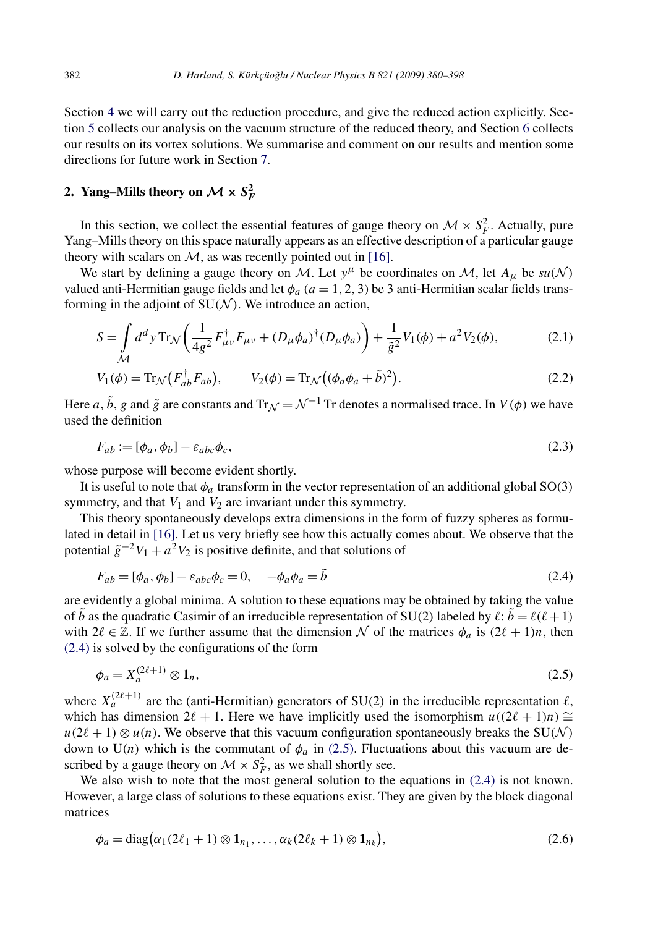<span id="page-2-0"></span>Section [4](#page-6-0) we will carry out the reduction procedure, and give the reduced action explicitly. Section [5](#page-8-0) collects our analysis on the vacuum structure of the reduced theory, and Section [6](#page-9-0) collects our results on its vortex solutions. We summarise and comment on our results and mention some directions for future work in Section [7.](#page-14-0)

# **2.** Yang–Mills theory on  $\mathcal{M} \times S_F^2$

In this section, we collect the essential features of gauge theory on  $\mathcal{M} \times S_F^2$ . Actually, pure Yang–Mills theory on this space naturally appears as an effective description of a particular gauge theory with scalars on  $M$ , as was recently pointed out in [\[16\].](#page-17-0)

We start by defining a gauge theory on M. Let  $y^{\mu}$  be coordinates on M, let  $A_{\mu}$  be  $su(N)$ valued anti-Hermitian gauge fields and let  $\phi_a$  ( $a = 1, 2, 3$ ) be 3 anti-Hermitian scalar fields transforming in the adjoint of  $SU(N)$ . We introduce an action,

$$
S = \int_{\mathcal{M}} d^d y \operatorname{Tr}_{\mathcal{N}} \left( \frac{1}{4g^2} F_{\mu\nu}^{\dagger} F_{\mu\nu} + (D_{\mu} \phi_a)^{\dagger} (D_{\mu} \phi_a) \right) + \frac{1}{\tilde{g}^2} V_1(\phi) + a^2 V_2(\phi), \tag{2.1}
$$

$$
V_1(\phi) = \text{Tr}_{\mathcal{N}}(F_{ab}^{\dagger}F_{ab}), \qquad V_2(\phi) = \text{Tr}_{\mathcal{N}}((\phi_a \phi_a + \tilde{b})^2). \tag{2.2}
$$

Here *a*,  $\tilde{b}$ , *g* and  $\tilde{g}$  are constants and Tr<sub>N</sub> =  $\mathcal{N}^{-1}$  Tr denotes a normalised trace. In *V*( $\phi$ ) we have used the definition

$$
F_{ab} := [\phi_a, \phi_b] - \varepsilon_{abc}\phi_c,\tag{2.3}
$$

whose purpose will become evident shortly.

It is useful to note that  $\phi_a$  transform in the vector representation of an additional global SO(3) symmetry, and that  $V_1$  and  $V_2$  are invariant under this symmetry.

This theory spontaneously develops extra dimensions in the form of fuzzy spheres as formulated in detail in [\[16\].](#page-17-0) Let us very briefly see how this actually comes about. We observe that the potential  $\tilde{g}^{-2}V_1 + a^2V_2$  is positive definite, and that solutions of

$$
F_{ab} = [\phi_a, \phi_b] - \varepsilon_{abc}\phi_c = 0, \quad -\phi_a\phi_a = \tilde{b}
$$
\n(2.4)

are evidently a global minima. A solution to these equations may be obtained by taking the value of *b* as the quadratic Casimir of an irreducible representation of SU(2) labeled by  $\ell$ :  $b = \ell(\ell+1)$ with  $2\ell \in \mathbb{Z}$ . If we further assume that the dimension N of the matrices  $\phi_a$  is  $(2\ell + 1)n$ , then (2.4) is solved by the configurations of the form

$$
\phi_a = X_a^{(2\ell+1)} \otimes \mathbf{1}_n,\tag{2.5}
$$

where  $X_a^{(2\ell+1)}$  are the (anti-Hermitian) generators of SU(2) in the irreducible representation  $\ell$ , which has dimension  $2\ell + 1$ . Here we have implicitly used the isomorphism  $u((2\ell + 1)n) \cong$  $u(2\ell + 1) \otimes u(n)$ . We observe that this vacuum configuration spontaneously breaks the SU(N) down to  $U(n)$  which is the commutant of  $\phi_a$  in (2.5). Fluctuations about this vacuum are described by a gauge theory on  $\mathcal{M} \times S_F^2$ , as we shall shortly see.

We also wish to note that the most general solution to the equations in  $(2.4)$  is not known. However, a large class of solutions to these equations exist. They are given by the block diagonal matrices

$$
\phi_a = \text{diag}(\alpha_1(2\ell_1 + 1) \otimes \mathbf{1}_{n_1}, \dots, \alpha_k(2\ell_k + 1) \otimes \mathbf{1}_{n_k}),\tag{2.6}
$$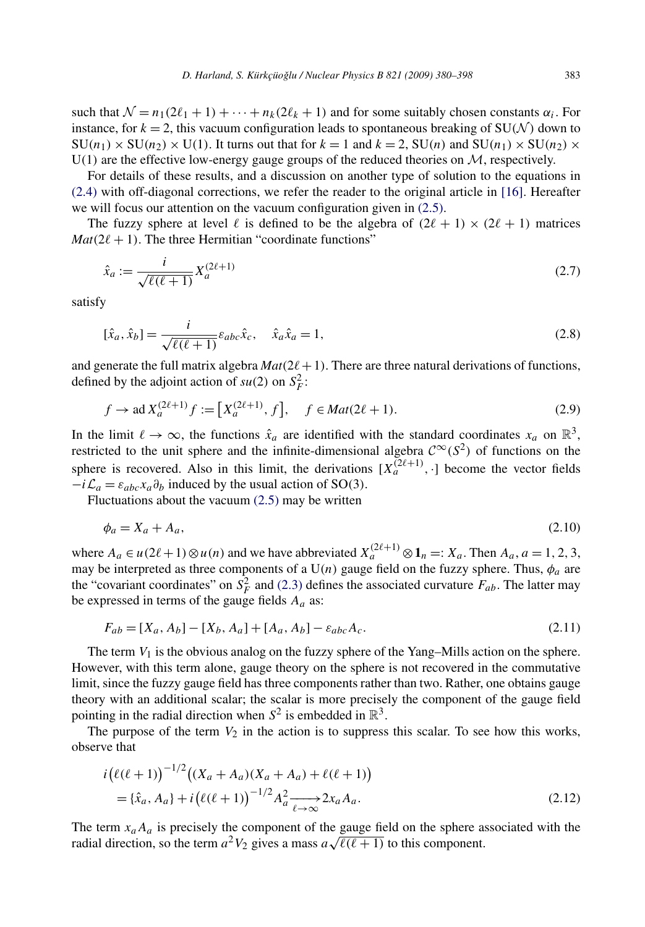<span id="page-3-0"></span>such that  $\mathcal{N} = n_1(2\ell_1 + 1) + \cdots + n_k(2\ell_k + 1)$  and for some suitably chosen constants  $\alpha_i$ . For instance, for  $k = 2$ , this vacuum configuration leads to spontaneous breaking of SU(N) down to  $SU(n_1) \times SU(n_2) \times U(1)$ . It turns out that for  $k = 1$  and  $k = 2$ ,  $SU(n)$  and  $SU(n_1) \times SU(n_2) \times U(1)$ .  $U(1)$  are the effective low-energy gauge groups of the reduced theories on  $M$ , respectively.

For details of these results, and a discussion on another type of solution to the equations in [\(2.4\)](#page-2-0) with off-diagonal corrections, we refer the reader to the original article in [\[16\].](#page-17-0) Hereafter we will focus our attention on the vacuum configuration given in [\(2.5\).](#page-2-0)

The fuzzy sphere at level  $\ell$  is defined to be the algebra of  $(2\ell + 1) \times (2\ell + 1)$  matrices  $Mat(2\ell + 1)$ . The three Hermitian "coordinate functions"

$$
\hat{x}_a := \frac{i}{\sqrt{\ell(\ell+1)}} X_a^{(2\ell+1)} \tag{2.7}
$$

satisfy

$$
[\hat{x}_a, \hat{x}_b] = \frac{i}{\sqrt{\ell(\ell+1)}} \varepsilon_{abc} \hat{x}_c, \quad \hat{x}_a \hat{x}_a = 1,
$$
\n(2.8)

and generate the full matrix algebra  $Mat(2\ell+1)$ . There are three natural derivations of functions, defined by the adjoint action of  $su(2)$  on  $S_F^2$ :

$$
f \to \text{ad}\, X_a^{(2\ell+1)} f := \left[ X_a^{(2\ell+1)}, f \right], \quad f \in \text{Mat}(2\ell+1). \tag{2.9}
$$

In the limit  $\ell \to \infty$ , the functions  $\hat{x}_a$  are identified with the standard coordinates  $x_a$  on  $\mathbb{R}^3$ , restricted to the unit sphere and the infinite-dimensional algebra  $\mathcal{C}^{\infty}(S^2)$  of functions on the sphere is recovered. Also in this limit, the derivations  $[X_a^{(2\ell+1)},\cdot]$  become the vector fields  $-i\mathcal{L}_a = \varepsilon_{abc}x_a\partial_b$  induced by the usual action of SO(3).

Fluctuations about the vacuum [\(2.5\)](#page-2-0) may be written

$$
\phi_a = X_a + A_a,\tag{2.10}
$$

where  $A_a \in u(2\ell+1) \otimes u(n)$  and we have abbreviated  $X_a^{(2\ell+1)} \otimes \mathbf{1}_n =: X_a$ . Then  $A_a$ ,  $a = 1, 2, 3$ , may be interpreted as three components of a  $U(n)$  gauge field on the fuzzy sphere. Thus,  $\phi_a$  are the "covariant coordinates" on  $S_F^2$  and [\(2.3\)](#page-2-0) defines the associated curvature  $F_{ab}$ . The latter may be expressed in terms of the gauge fields  $A_a$  as:

$$
F_{ab} = [X_a, A_b] - [X_b, A_a] + [A_a, A_b] - \varepsilon_{abc} A_c.
$$
\n(2.11)

The term  $V_1$  is the obvious analog on the fuzzy sphere of the Yang–Mills action on the sphere. However, with this term alone, gauge theory on the sphere is not recovered in the commutative limit, since the fuzzy gauge field has three components rather than two. Rather, one obtains gauge theory with an additional scalar; the scalar is more precisely the component of the gauge field pointing in the radial direction when  $S^2$  is embedded in  $\mathbb{R}^3$ .

The purpose of the term  $V_2$  in the action is to suppress this scalar. To see how this works, observe that

$$
i(\ell(\ell+1))^{-1/2}((X_a + A_a)(X_a + A_a) + \ell(\ell+1))
$$
  
= { $\hat{x}_a$ ,  $A_a$ } +  $i(\ell(\ell+1))^{-1/2}A_a^2 \longrightarrow 2x_aA_a$ . (2.12)

The term  $x_a A_a$  is precisely the component of the gauge field on the sphere associated with the radial direction, so the term  $a^2V_2$  gives a mass  $a\sqrt{\ell(\ell+1)}$  to this component.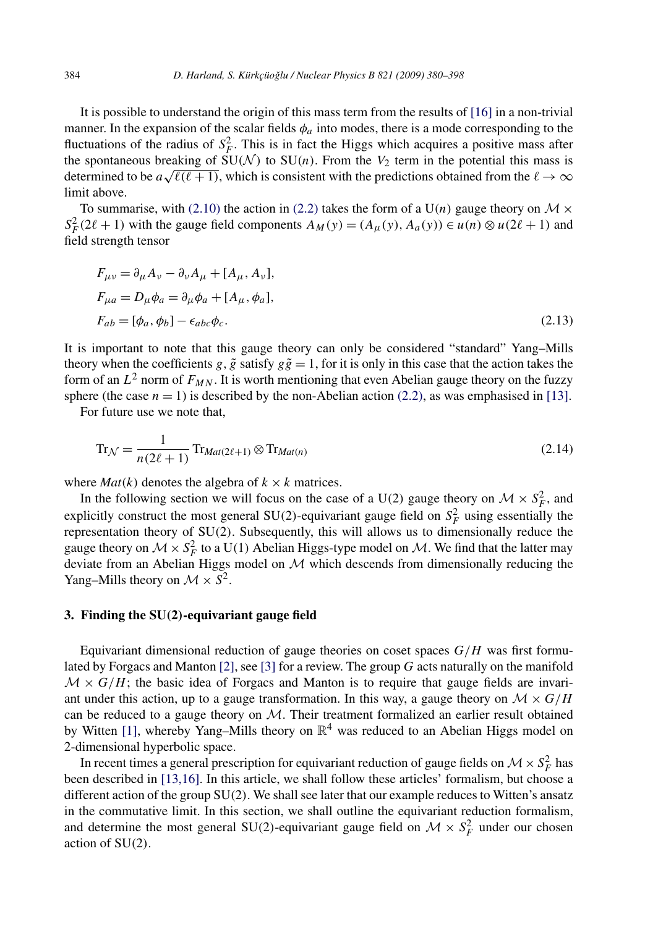<span id="page-4-0"></span>It is possible to understand the origin of this mass term from the results of [\[16\]](#page-17-0) in a non-trivial manner. In the expansion of the scalar fields  $\phi_a$  into modes, there is a mode corresponding to the fluctuations of the radius of  $S_F^2$ . This is in fact the Higgs which acquires a positive mass after the spontaneous breaking of  $SU(N)$  to  $SU(n)$ . From the  $V_2$  term in the potential this mass is determined to be  $a\sqrt{\ell(\ell+1)}$ , which is consistent with the predictions obtained from the  $\ell \to \infty$ limit above.

To summarise, with [\(2.10\)](#page-3-0) the action in [\(2.2\)](#page-2-0) takes the form of a  $U(n)$  gauge theory on  $M \times$  $S_F^2(2\ell + 1)$  with the gauge field components  $A_M(y) = (A_\mu(y), A_a(y)) \in u(n) \otimes u(2\ell + 1)$  and field strength tensor

$$
F_{\mu\nu} = \partial_{\mu} A_{\nu} - \partial_{\nu} A_{\mu} + [A_{\mu}, A_{\nu}],
$$
  
\n
$$
F_{\mu a} = D_{\mu} \phi_{a} = \partial_{\mu} \phi_{a} + [A_{\mu}, \phi_{a}],
$$
  
\n
$$
F_{ab} = [\phi_{a}, \phi_{b}] - \epsilon_{abc} \phi_{c}.
$$
\n(2.13)

It is important to note that this gauge theory can only be considered "standard" Yang–Mills theory when the coefficients *g*,  $\tilde{g}$  satisfy  $g\tilde{g} = 1$ , for it is only in this case that the action takes the form of an  $L^2$  norm of  $F_{MN}$ . It is worth mentioning that even Abelian gauge theory on the fuzzy sphere (the case  $n = 1$ ) is described by the non-Abelian action [\(2.2\),](#page-2-0) as was emphasised in [\[13\].](#page-17-0)

For future use we note that,

$$
\operatorname{Tr}_{\mathcal{N}} = \frac{1}{n(2\ell+1)} \operatorname{Tr}_{\text{Mat}(2\ell+1)} \otimes \operatorname{Tr}_{\text{Mat}(n)} \tag{2.14}
$$

where  $Mat(k)$  denotes the algebra of  $k \times k$  matrices.

In the following section we will focus on the case of a U(2) gauge theory on  $\mathcal{M} \times S_F^2$ , and explicitly construct the most general  $SU(2)$ -equivariant gauge field on  $S_F^2$  using essentially the representation theory of SU*(*2*)*. Subsequently, this will allows us to dimensionally reduce the gauge theory on  $\mathcal{M} \times S_F^2$  to a U(1) Abelian Higgs-type model on  $\mathcal{M}$ . We find that the latter may deviate from an Abelian Higgs model on  $M$  which descends from dimensionally reducing the Yang–Mills theory on  $\mathcal{M} \times S^2$ .

#### **3. Finding the SU***(***2***)***-equivariant gauge field**

Equivariant dimensional reduction of gauge theories on coset spaces *G/H* was first formulated by Forgacs and Manton [\[2\],](#page-17-0) see [\[3\]](#page-17-0) for a review. The group *G* acts naturally on the manifold  $M \times G/H$ ; the basic idea of Forgacs and Manton is to require that gauge fields are invariant under this action, up to a gauge transformation. In this way, a gauge theory on  $\mathcal{M} \times G/H$ can be reduced to a gauge theory on  $M$ . Their treatment formalized an earlier result obtained by Witten [\[1\],](#page-17-0) whereby Yang–Mills theory on  $\mathbb{R}^4$  was reduced to an Abelian Higgs model on 2-dimensional hyperbolic space.

In recent times a general prescription for equivariant reduction of gauge fields on  $\mathcal{M} \times S_F^2$  has been described in [\[13,16\].](#page-17-0) In this article, we shall follow these articles' formalism, but choose a different action of the group SU*(*2*)*. We shall see later that our example reduces to Witten's ansatz in the commutative limit. In this section, we shall outline the equivariant reduction formalism, and determine the most general SU(2)-equivariant gauge field on  $M \times S_F^2$  under our chosen action of SU*(*2*)*.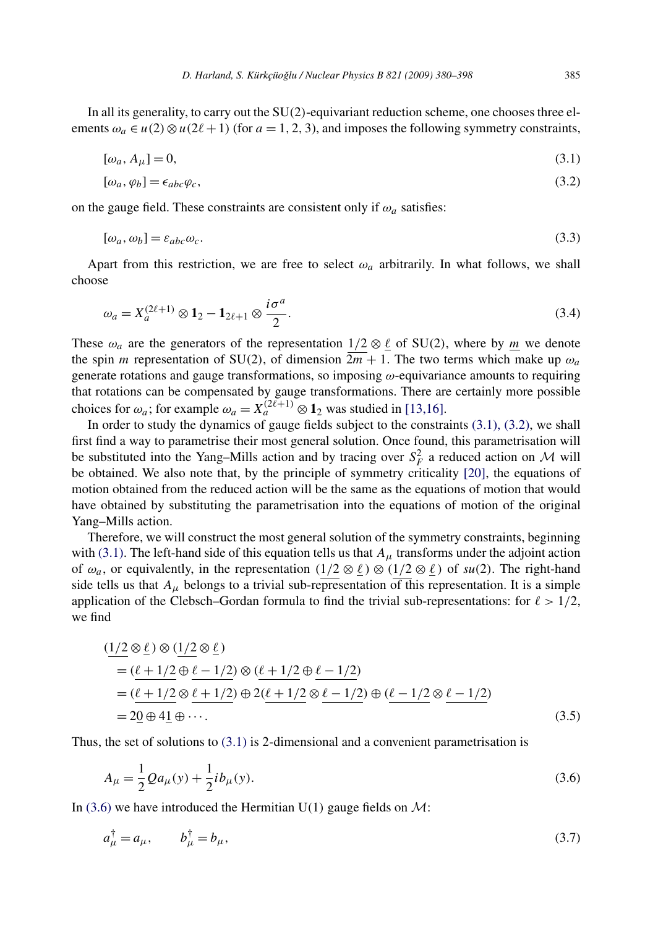<span id="page-5-0"></span>In all its generality, to carry out the SU*(*2*)*-equivariant reduction scheme, one chooses three elements  $\omega_a \in u(2) \otimes u(2\ell+1)$  (for  $a = 1, 2, 3$ ), and imposes the following symmetry constraints,

$$
[\omega_a, A_\mu] = 0,\tag{3.1}
$$

$$
[\omega_a, \varphi_b] = \epsilon_{abc} \varphi_c,\tag{3.2}
$$

on the gauge field. These constraints are consistent only if  $\omega_a$  satisfies:

$$
[\omega_a, \omega_b] = \varepsilon_{abc}\omega_c. \tag{3.3}
$$

Apart from this restriction, we are free to select  $\omega_a$  arbitrarily. In what follows, we shall choose

$$
\omega_a = X_a^{(2\ell+1)} \otimes \mathbf{1}_2 - \mathbf{1}_{2\ell+1} \otimes \frac{i\sigma^a}{2}.
$$
\n(3.4)

These  $\omega_a$  are the generators of the representation  $1/2 \otimes \ell$  of SU(2), where by *m* we denote the spin *m* representation of SU(2), of dimension  $2m + 1$ . The two terms which make up  $\omega_a$ generate rotations and gauge transformations, so imposing *ω*-equivariance amounts to requiring that rotations can be compensated by gauge transformations. There are certainly more possible choices for  $\omega_a$ ; for example  $\omega_a = X_a^{(2\ell+1)} \otimes \mathbf{1}_2$  was studied in [\[13,16\].](#page-17-0)

In order to study the dynamics of gauge fields subject to the constraints (3.1), (3.2), we shall first find a way to parametrise their most general solution. Once found, this parametrisation will be substituted into the Yang–Mills action and by tracing over  $S_F^2$  a reduced action on M will be obtained. We also note that, by the principle of symmetry criticality [\[20\],](#page-18-0) the equations of motion obtained from the reduced action will be the same as the equations of motion that would have obtained by substituting the parametrisation into the equations of motion of the original Yang–Mills action.

Therefore, we will construct the most general solution of the symmetry constraints, beginning with (3.1). The left-hand side of this equation tells us that  $A_\mu$  transforms under the adjoint action of  $\omega_a$ , or equivalently, in the representation  $(1/2 \otimes \ell) \otimes (1/2 \otimes \ell)$  of  $su(2)$ . The right-hand side tells us that  $A_{\mu}$  belongs to a trivial sub-representation of this representation. It is a simple application of the Clebsch–Gordan formula to find the trivial sub-representations: for  $\ell > 1/2$ , we find

$$
\begin{aligned} &\frac{(1/2 \otimes \ell) \otimes (1/2 \otimes \ell)}{(\ell + 1/2 \oplus \ell - 1/2)} \\ &= \frac{(\ell + 1/2 \oplus \ell - 1/2)}{(\ell + 1/2 \otimes \ell + 1/2)} \otimes (\ell + 1/2 \otimes \ell - 1/2) \\ &= 2\underline{0} \oplus 4\underline{1} \oplus \cdots. \end{aligned} \tag{3.5}
$$

Thus, the set of solutions to (3.1) is 2-dimensional and a convenient parametrisation is

$$
A_{\mu} = \frac{1}{2} Q a_{\mu}(y) + \frac{1}{2} i b_{\mu}(y).
$$
 (3.6)

In (3.6) we have introduced the Hermitian  $U(1)$  gauge fields on  $\mathcal{M}$ :

$$
a_{\mu}^{\dagger} = a_{\mu}, \qquad b_{\mu}^{\dagger} = b_{\mu}, \tag{3.7}
$$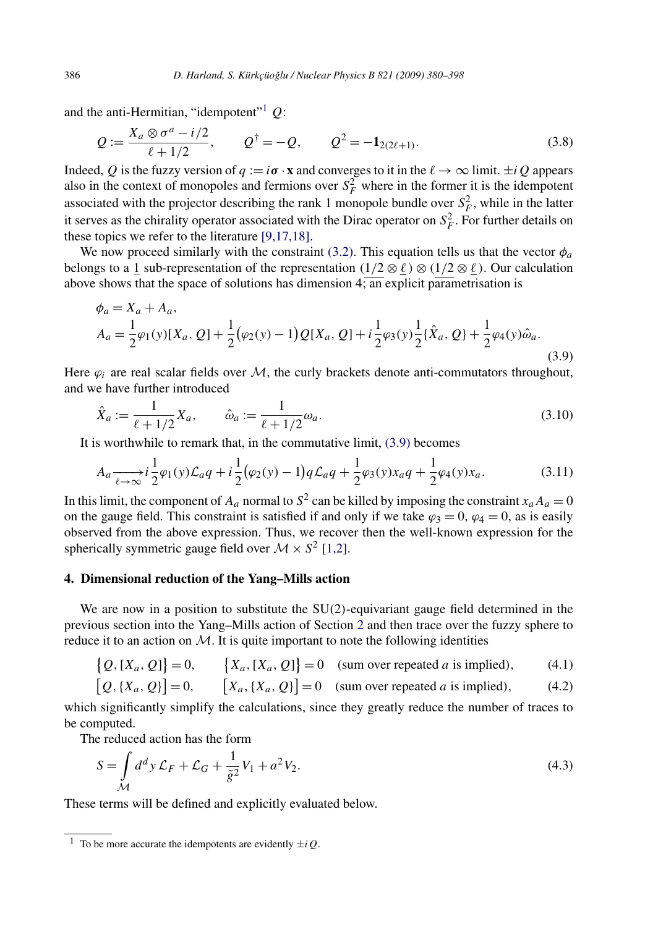and the anti-Hermitian, "idempotent"1 *Q*:

$$
Q := \frac{X_a \otimes \sigma^a - i/2}{\ell + 1/2}, \qquad Q^{\dagger} = -Q, \qquad Q^2 = -\mathbf{1}_{2(2\ell+1)}.
$$
 (3.8)

Indeed, *Q* is the fuzzy version of  $q := i\sigma \cdot \mathbf{x}$  and converges to it in the  $\ell \to \infty$  limit.  $\pm iQ$  appears also in the context of monopoles and fermions over  $S_F^2$  where in the former it is the idempotent associated with the projector describing the rank 1 monopole bundle over  $S_F^2$ , while in the latter it serves as the chirality operator associated with the Dirac operator on  $S_F^2$ . For further details on these topics we refer to the literature [\[9,17,18\].](#page-17-0)

We now proceed similarly with the constraint [\(3.2\).](#page-5-0) This equation tells us that the vector  $\phi_a$ belongs to a 1 sub-representation of the representation  $(1/2 \otimes \ell) \otimes (1/2 \otimes \ell)$ . Our calculation above shows that the space of solutions has dimension  $4$ ; an explicit parametrisation is

$$
\phi_a = X_a + A_a,
$$
  
\n
$$
A_a = \frac{1}{2}\varphi_1(y)[X_a, Q] + \frac{1}{2}(\varphi_2(y) - 1)Q[X_a, Q] + i\frac{1}{2}\varphi_3(y)\frac{1}{2}\{\hat{X}_a, Q\} + \frac{1}{2}\varphi_4(y)\hat{\omega}_a.
$$
\n(3.9)

Here  $\varphi_i$  are real scalar fields over  $\mathcal M$ , the curly brackets denote anti-commutators throughout, and we have further introduced

$$
\hat{X}_a := \frac{1}{\ell + 1/2} X_a, \qquad \hat{\omega}_a := \frac{1}{\ell + 1/2} \omega_a.
$$
\n(3.10)

It is worthwhile to remark that, in the commutative limit, (3.9) becomes

$$
A_a \xrightarrow[\ell \to \infty]{} i \frac{1}{2} \varphi_1(y) \mathcal{L}_a q + i \frac{1}{2} (\varphi_2(y) - 1) q \mathcal{L}_a q + \frac{1}{2} \varphi_3(y) x_a q + \frac{1}{2} \varphi_4(y) x_a. \tag{3.11}
$$

In this limit, the component of  $A_a$  normal to  $S^2$  can be killed by imposing the constraint  $x_a A_a = 0$ on the gauge field. This constraint is satisfied if and only if we take  $\varphi_3 = 0$ ,  $\varphi_4 = 0$ , as is easily observed from the above expression. Thus, we recover then the well-known expression for the spherically symmetric gauge field over  $M \times S^2$  [\[1,2\].](#page-17-0)

# **4. Dimensional reduction of the Yang–Mills action**

We are now in a position to substitute the SU*(*2*)*-equivariant gauge field determined in the previous section into the Yang–Mills action of Section [2](#page-2-0) and then trace over the fuzzy sphere to reduce it to an action on  $M$ . It is quite important to note the following identities

$$
\{Q, [X_a, Q]\} = 0, \qquad \{X_a, [X_a, Q]\} = 0 \quad \text{(sum over repeated } a \text{ is implied)}, \tag{4.1}
$$
\n
$$
[Q, [X_a, Q]] = 0 \qquad [Y, [X_a, Q]] = 0 \quad \text{(sum over repeated } a \text{ is implied)} \tag{4.2}
$$

$$
[Q, \{X_a, Q\}] = 0, \qquad [X_a, \{X_a, Q\}] = 0 \quad \text{(sum over repeated } a \text{ is implied)}, \tag{4.2}
$$

which significantly simplify the calculations, since they greatly reduce the number of traces to be computed.

The reduced action has the form

$$
S = \int_{\mathcal{M}} d^d y \mathcal{L}_F + \mathcal{L}_G + \frac{1}{\tilde{g}^2} V_1 + a^2 V_2.
$$
 (4.3)

These terms will be defined and explicitly evaluated below.

<span id="page-6-0"></span>

<sup>&</sup>lt;sup>1</sup> To be more accurate the idempotents are evidently  $\pm iQ$ .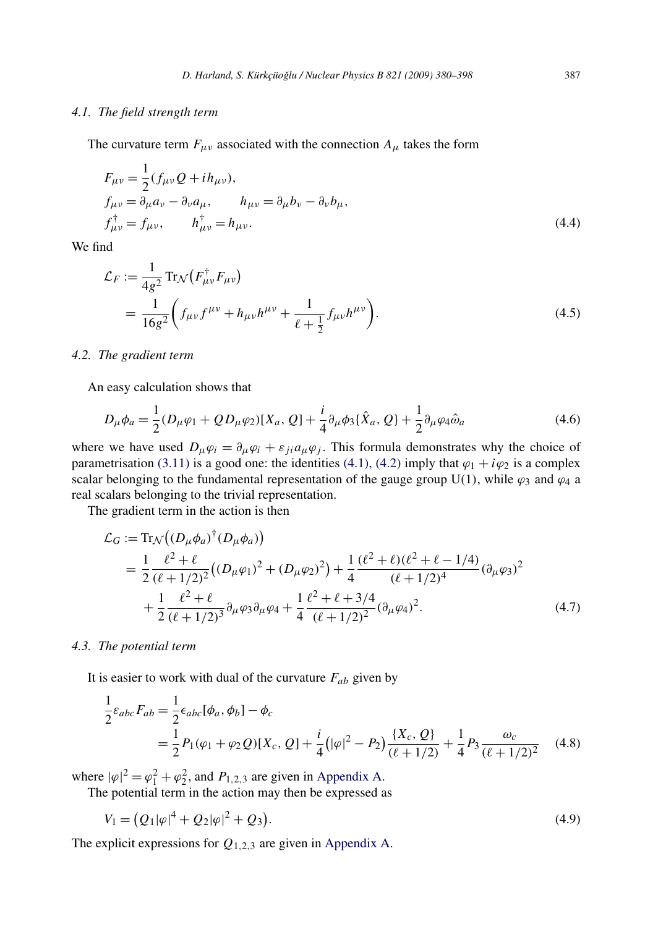#### *4.1. The field strength term*

The curvature term  $F_{\mu\nu}$  associated with the connection  $A_{\mu}$  takes the form

$$
F_{\mu\nu} = \frac{1}{2} (f_{\mu\nu} Q + i h_{\mu\nu}),
$$
  
\n
$$
f_{\mu\nu} = \partial_{\mu} a_{\nu} - \partial_{\nu} a_{\mu}, \qquad h_{\mu\nu} = \partial_{\mu} b_{\nu} - \partial_{\nu} b_{\mu},
$$
  
\n
$$
f_{\mu\nu}^{\dagger} = f_{\mu\nu}, \qquad h_{\mu\nu}^{\dagger} = h_{\mu\nu}.
$$
\n(4.4)

We find

$$
\mathcal{L}_F := \frac{1}{4g^2} \text{Tr}_{\mathcal{N}} \left( F_{\mu\nu}^\dagger F_{\mu\nu} \right)
$$
\n
$$
= \frac{1}{16g^2} \left( f_{\mu\nu} f^{\mu\nu} + h_{\mu\nu} h^{\mu\nu} + \frac{1}{\ell + \frac{1}{2}} f_{\mu\nu} h^{\mu\nu} \right). \tag{4.5}
$$

#### *4.2. The gradient term*

An easy calculation shows that

$$
D_{\mu}\phi_{a} = \frac{1}{2}(D_{\mu}\varphi_{1} + QD_{\mu}\varphi_{2})[X_{a}, Q] + \frac{i}{4}\partial_{\mu}\phi_{3}\{\hat{X}_{a}, Q\} + \frac{1}{2}\partial_{\mu}\varphi_{4}\hat{\omega}_{a}
$$
(4.6)

where we have used  $D_\mu \varphi_i = \partial_\mu \varphi_i + \varepsilon_{ji} a_\mu \varphi_j$ . This formula demonstrates why the choice of parametrisation [\(3.11\)](#page-6-0) is a good one: the identities [\(4.1\), \(4.2\)](#page-6-0) imply that  $\varphi_1 + i\varphi_2$  is a complex scalar belonging to the fundamental representation of the gauge group U(1), while  $\varphi_3$  and  $\varphi_4$  a real scalars belonging to the trivial representation.

The gradient term in the action is then

$$
\mathcal{L}_G := \text{Tr}_{\mathcal{N}}\big((D_\mu \phi_a)^\dagger (D_\mu \phi_a)\big) \n= \frac{1}{2} \frac{\ell^2 + \ell}{(\ell + 1/2)^2} \big((D_\mu \varphi_1)^2 + (D_\mu \varphi_2)^2\big) + \frac{1}{4} \frac{(\ell^2 + \ell)(\ell^2 + \ell - 1/4)}{(\ell + 1/2)^4} (\partial_\mu \varphi_3)^2 \n+ \frac{1}{2} \frac{\ell^2 + \ell}{(\ell + 1/2)^3} \partial_\mu \varphi_3 \partial_\mu \varphi_4 + \frac{1}{4} \frac{\ell^2 + \ell + 3/4}{(\ell + 1/2)^2} (\partial_\mu \varphi_4)^2.
$$
\n(4.7)

#### *4.3. The potential term*

It is easier to work with dual of the curvature *Fab* given by

$$
\frac{1}{2}\varepsilon_{abc}F_{ab} = \frac{1}{2}\varepsilon_{abc}[\phi_a, \phi_b] - \phi_c
$$
\n
$$
= \frac{1}{2}P_1(\varphi_1 + \varphi_2 Q)[X_c, Q] + \frac{i}{4}(|\varphi|^2 - P_2)\frac{\{X_c, Q\}}{(\ell + 1/2)} + \frac{1}{4}P_3\frac{\omega_c}{(\ell + 1/2)^2} \tag{4.8}
$$

where  $|\varphi|^2 = \varphi_1^2 + \varphi_2^2$ , and  $P_{1,2,3}$  are given in [Appendix A.](#page-15-0)

The potential term in the action may then be expressed as

$$
V_1 = (Q_1|\varphi|^4 + Q_2|\varphi|^2 + Q_3). \tag{4.9}
$$

The explicit expressions for *Q*1*,*2*,*<sup>3</sup> are given in [Appendix A.](#page-15-0)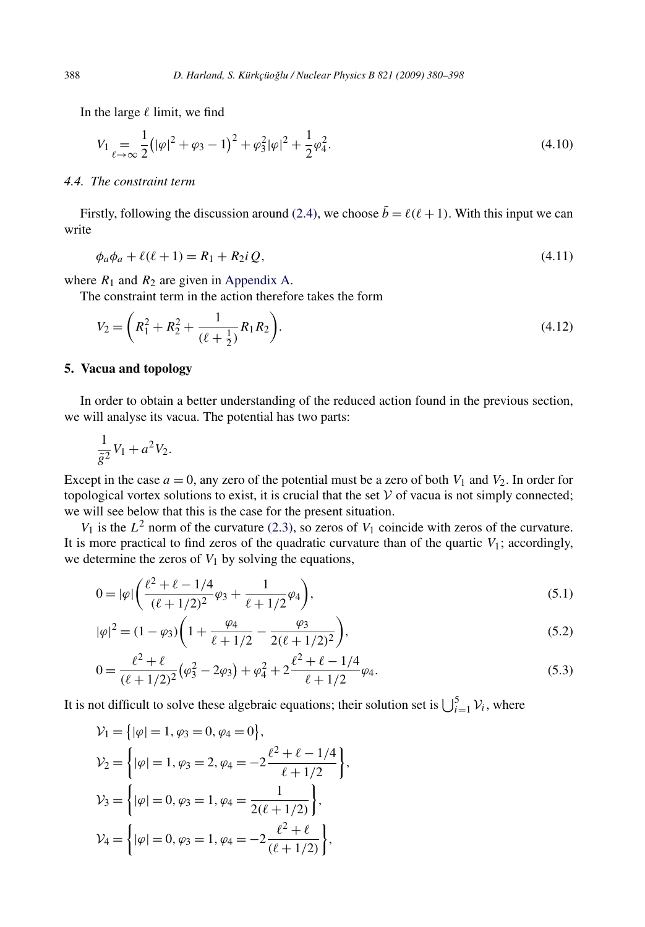<span id="page-8-0"></span>In the large  $\ell$  limit, we find

$$
V_1 = \frac{1}{\ell - \infty} \frac{1}{2} \left( |\varphi|^2 + \varphi_3 - 1 \right)^2 + \varphi_3^2 |\varphi|^2 + \frac{1}{2} \varphi_4^2.
$$
\n(4.10)

# *4.4. The constraint term*

Firstly, following the discussion around [\(2.4\),](#page-2-0) we choose  $\tilde{b} = \ell(\ell + 1)$ . With this input we can write

$$
\phi_a \phi_a + \ell(\ell+1) = R_1 + R_2 i \, Q,\tag{4.11}
$$

where  $R_1$  and  $R_2$  are given in [Appendix A.](#page-15-0)

The constraint term in the action therefore takes the form

$$
V_2 = \left(R_1^2 + R_2^2 + \frac{1}{(\ell + \frac{1}{2})}R_1R_2\right).
$$
\n(4.12)

#### **5. Vacua and topology**

In order to obtain a better understanding of the reduced action found in the previous section, we will analyse its vacua. The potential has two parts:

$$
\frac{1}{\tilde{g}^2}V_1 + a^2V_2.
$$

Except in the case  $a = 0$ , any zero of the potential must be a zero of both  $V_1$  and  $V_2$ . In order for topological vortex solutions to exist, it is crucial that the set  $\mathcal V$  of vacua is not simply connected; we will see below that this is the case for the present situation.

 $V_1$  is the  $L^2$  norm of the curvature [\(2.3\),](#page-2-0) so zeros of  $V_1$  coincide with zeros of the curvature. It is more practical to find zeros of the quadratic curvature than of the quartic  $V_1$ ; accordingly, we determine the zeros of  $V_1$  by solving the equations,

$$
0 = |\varphi| \left( \frac{\ell^2 + \ell - 1/4}{(\ell + 1/2)^2} \varphi_3 + \frac{1}{\ell + 1/2} \varphi_4 \right),\tag{5.1}
$$

$$
|\varphi|^2 = (1 - \varphi_3) \left( 1 + \frac{\varphi_4}{\ell + 1/2} - \frac{\varphi_3}{2(\ell + 1/2)^2} \right),\tag{5.2}
$$

$$
0 = \frac{\ell^2 + \ell}{(\ell + 1/2)^2} (\varphi_3^2 - 2\varphi_3) + \varphi_4^2 + 2 \frac{\ell^2 + \ell - 1/4}{\ell + 1/2} \varphi_4.
$$
\n(5.3)

It is not difficult to solve these algebraic equations; their solution set is  $\bigcup_{i=1}^{5} \mathcal{V}_i$ , where

$$
\mathcal{V}_1 = \{ |\varphi| = 1, \varphi_3 = 0, \varphi_4 = 0 \},
$$
  
\n
$$
\mathcal{V}_2 = \left\{ |\varphi| = 1, \varphi_3 = 2, \varphi_4 = -2 \frac{\ell^2 + \ell - 1/4}{\ell + 1/2} \right\},
$$
  
\n
$$
\mathcal{V}_3 = \left\{ |\varphi| = 0, \varphi_3 = 1, \varphi_4 = \frac{1}{2(\ell + 1/2)} \right\},
$$
  
\n
$$
\mathcal{V}_4 = \left\{ |\varphi| = 0, \varphi_3 = 1, \varphi_4 = -2 \frac{\ell^2 + \ell}{(\ell + 1/2)} \right\},
$$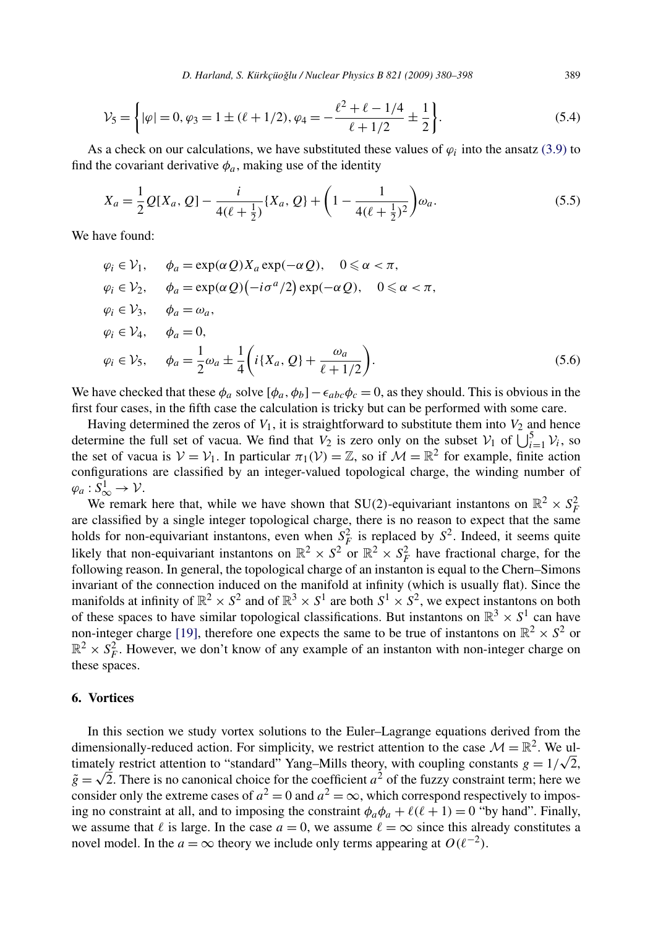<span id="page-9-0"></span>
$$
\mathcal{V}_5 = \left\{ |\varphi| = 0, \varphi_3 = 1 \pm (\ell + 1/2), \varphi_4 = -\frac{\ell^2 + \ell - 1/4}{\ell + 1/2} \pm \frac{1}{2} \right\}.
$$
 (5.4)

As a check on our calculations, we have substituted these values of  $\varphi_i$  into the ansatz [\(3.9\)](#page-6-0) to find the covariant derivative  $\phi_a$ , making use of the identity

$$
X_a = \frac{1}{2} Q[X_a, Q] - \frac{i}{4(\ell + \frac{1}{2})} \{X_a, Q\} + \left(1 - \frac{1}{4(\ell + \frac{1}{2})^2}\right) \omega_a.
$$
 (5.5)

We have found:

$$
\varphi_i \in \mathcal{V}_1, \quad \phi_a = \exp(\alpha \mathcal{Q}) X_a \exp(-\alpha \mathcal{Q}), \quad 0 \le \alpha < \pi,
$$
\n
$$
\varphi_i \in \mathcal{V}_2, \quad \phi_a = \exp(\alpha \mathcal{Q}) \left( -i\sigma^a / 2 \right) \exp(-\alpha \mathcal{Q}), \quad 0 \le \alpha < \pi,
$$
\n
$$
\varphi_i \in \mathcal{V}_3, \quad \phi_a = \omega_a,
$$
\n
$$
\varphi_i \in \mathcal{V}_4, \quad \phi_a = 0,
$$
\n
$$
\varphi_i \in \mathcal{V}_5, \quad \phi_a = \frac{1}{2} \omega_a \pm \frac{1}{4} \left( i \{ X_a, \mathcal{Q} \} + \frac{\omega_a}{\ell + 1/2} \right).
$$
\n(5.6)

We have checked that these  $\phi_a$  solve  $[\phi_a, \phi_b] - \epsilon_{abc} \phi_c = 0$ , as they should. This is obvious in the first four cases, in the fifth case the calculation is tricky but can be performed with some care.

Having determined the zeros of  $V_1$ , it is straightforward to substitute them into  $V_2$  and hence determine the full set of vacua. We find that  $V_2$  is zero only on the subset  $V_1$  of  $\bigcup_{i=1}^{5} V_i$ , so the set of vacua is  $V = V_1$ . In particular  $\pi_1(V) = \mathbb{Z}$ , so if  $\mathcal{M} = \mathbb{R}^2$  for example, finite action configurations are classified by an integer-valued topological charge, the winding number of  $\varphi_a: S^1_\infty \to \mathcal{V}.$ 

We remark here that, while we have shown that SU(2)-equivariant instantons on  $\mathbb{R}^2 \times S_F^2$ are classified by a single integer topological charge, there is no reason to expect that the same holds for non-equivariant instantons, even when  $S_F^2$  is replaced by  $S^2$ . Indeed, it seems quite likely that non-equivariant instantons on  $\mathbb{R}^2 \times S^2$  or  $\mathbb{R}^2 \times S^2$  have fractional charge, for the following reason. In general, the topological charge of an instanton is equal to the Chern–Simons invariant of the connection induced on the manifold at infinity (which is usually flat). Since the manifolds at infinity of  $\mathbb{R}^2 \times S^2$  and of  $\mathbb{R}^3 \times S^1$  are both  $S^1 \times S^2$ , we expect instantons on both of these spaces to have similar topological classifications. But instantons on  $\mathbb{R}^3 \times S^1$  can have non-integer charge [\[19\],](#page-18-0) therefore one expects the same to be true of instantons on  $\mathbb{R}^2 \times S^2$  or  $\mathbb{R}^2 \times S_F^2$ . However, we don't know of any example of an instanton with non-integer charge on these spaces.

### **6. Vortices**

In this section we study vortex solutions to the Euler–Lagrange equations derived from the dimensionally-reduced action. For simplicity, we restrict attention to the case  $\mathcal{M} = \mathbb{R}^2$ . We uldimensionally-reduced action. For simplicity, we restrict attention to the case  $\mathcal{M} = \mathbb{R}^2$ . We ultimately restrict attention to "standard" Yang–Mills theory, with coupling constants  $g = 1/\sqrt{2}$ ,  $\tilde{g} = \sqrt{2}$ . There is no canonical choice for the coefficient *a*<sup>2</sup> of the fuzzy constraint term; here we consider only the extreme cases of  $a^2 = 0$  and  $a^2 = \infty$ , which correspond respectively to imposing no constraint at all, and to imposing the constraint  $\phi_a \phi_a + \ell(\ell + 1) = 0$  "by hand". Finally, we assume that  $\ell$  is large. In the case  $a = 0$ , we assume  $\ell = \infty$  since this already constitutes a novel model. In the *a* = ∞ theory we include only terms appearing at  $O(\ell^{-2})$ .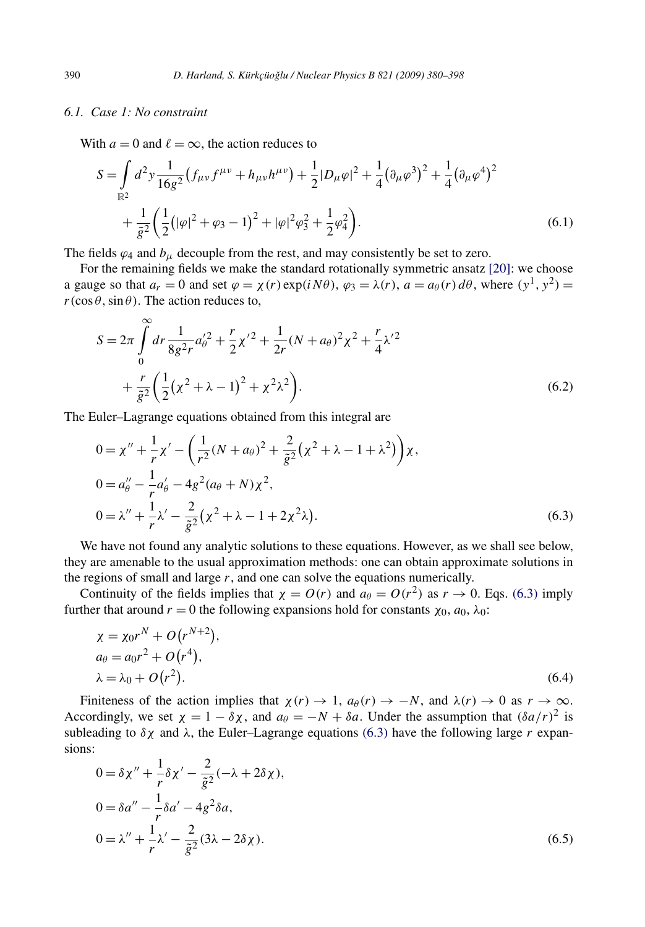# <span id="page-10-0"></span>*6.1. Case 1: No constraint*

With  $a = 0$  and  $\ell = \infty$ , the action reduces to

$$
S = \int_{\mathbb{R}^2} d^2 y \frac{1}{16g^2} \left( f_{\mu\nu} f^{\mu\nu} + h_{\mu\nu} h^{\mu\nu} \right) + \frac{1}{2} |D_{\mu}\varphi|^2 + \frac{1}{4} (\partial_{\mu}\varphi^3)^2 + \frac{1}{4} (\partial_{\mu}\varphi^4)^2
$$
  
+ 
$$
\frac{1}{\tilde{g}^2} \left( \frac{1}{2} \left( |\varphi|^2 + \varphi_3 - 1 \right)^2 + |\varphi|^2 \varphi_3^2 + \frac{1}{2} \varphi_4^2 \right).
$$
 (6.1)

The fields  $\varphi_4$  and  $b_\mu$  decouple from the rest, and may consistently be set to zero.

For the remaining fields we make the standard rotationally symmetric ansatz [\[20\]:](#page-18-0) we choose a gauge so that  $a_r = 0$  and set  $\varphi = \chi(r) \exp(i N \theta)$ ,  $\varphi_3 = \lambda(r)$ ,  $a = a_\theta(r) d\theta$ , where  $(\gamma^1, \gamma^2)$  $r(\cos \theta, \sin \theta)$ . The action reduces to,

$$
S = 2\pi \int_{0}^{\infty} dr \frac{1}{8g^{2}r} a_{\theta}^{'2} + \frac{r}{2} \chi^{'2} + \frac{1}{2r} (N + a_{\theta})^{2} \chi^{2} + \frac{r}{4} \chi^{'2} + \frac{r}{g^{2}} \left( \frac{1}{2} (\chi^{2} + \lambda - 1)^{2} + \chi^{2} \lambda^{2} \right).
$$
 (6.2)

The Euler–Lagrange equations obtained from this integral are

$$
0 = \chi'' + \frac{1}{r}\chi' - \left(\frac{1}{r^2}(N + a_\theta)^2 + \frac{2}{\tilde{g}^2}(\chi^2 + \lambda - 1 + \lambda^2)\right)\chi,
$$
  
\n
$$
0 = a''_\theta - \frac{1}{r}a'_\theta - 4g^2(a_\theta + N)\chi^2,
$$
  
\n
$$
0 = \lambda'' + \frac{1}{r}\lambda' - \frac{2}{\tilde{g}^2}(\chi^2 + \lambda - 1 + 2\chi^2\lambda).
$$
\n(6.3)

We have not found any analytic solutions to these equations. However, as we shall see below, they are amenable to the usual approximation methods: one can obtain approximate solutions in the regions of small and large *r*, and one can solve the equations numerically.

Continuity of the fields implies that  $\chi = O(r)$  and  $a_{\theta} = O(r^2)$  as  $r \to 0$ . Eqs. (6.3) imply further that around *r* = 0 the following expansions hold for constants  $χ_0$ ,  $a_0$ ,  $λ_0$ :

$$
\begin{aligned} \chi &= \chi_0 r^N + O(r^{N+2}), \\ a_\theta &= a_0 r^2 + O(r^4), \\ \lambda &= \lambda_0 + O(r^2). \end{aligned} \tag{6.4}
$$

Finiteness of the action implies that  $\chi(r) \to 1$ ,  $a_\theta(r) \to -N$ , and  $\lambda(r) \to 0$  as  $r \to \infty$ . Accordingly, we set  $\chi = 1 - \delta \chi$ , and  $a_{\theta} = -N + \delta a$ . Under the assumption that  $(\delta a/r)^2$  is subleading to  $\delta \chi$  and  $\lambda$ , the Euler–Lagrange equations (6.3) have the following large *r* expansions:

$$
0 = \delta \chi'' + \frac{1}{r} \delta \chi' - \frac{2}{\tilde{g}^2} (-\lambda + 2\delta \chi),
$$
  
\n
$$
0 = \delta a'' - \frac{1}{r} \delta a' - 4g^2 \delta a,
$$
  
\n
$$
0 = \lambda'' + \frac{1}{r} \lambda' - \frac{2}{\tilde{g}^2} (3\lambda - 2\delta \chi).
$$
\n(6.5)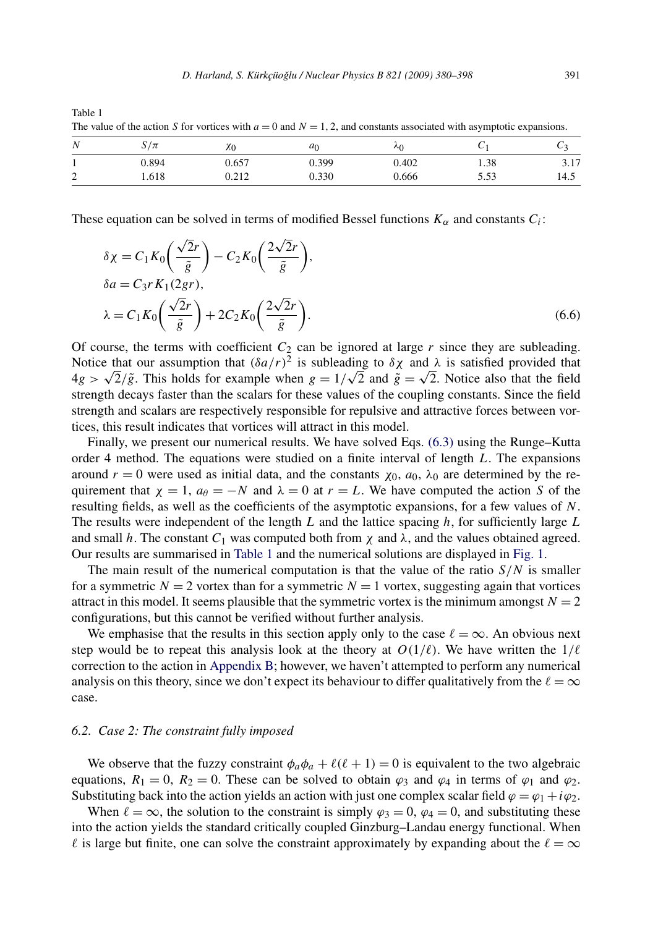| N      | $S/\pi$ | $\chi_0$ | a <sub>c</sub> | ٨n    | ◡    |            |
|--------|---------|----------|----------------|-------|------|------------|
| л.     | 0.894   | 0.657    | 0.399          | 0.402 | 1.38 | 17<br>3.11 |
| ⌒<br>∸ | 1.618   | 0.212    | 0.330          | 0.666 | 5.53 | 14.5       |

Table 1 The value of the action *S* for vortices with  $a = 0$  and  $N = 1, 2$ , and constants associated with asymptotic expansions.

These equation can be solved in terms of modified Bessel functions  $K_{\alpha}$  and constants  $C_i$ :

$$
\delta \chi = C_1 K_0 \left( \frac{\sqrt{2}r}{\tilde{g}} \right) - C_2 K_0 \left( \frac{2\sqrt{2}r}{\tilde{g}} \right),
$$
  
\n
$$
\delta a = C_3 r K_1 (2gr),
$$
  
\n
$$
\lambda = C_1 K_0 \left( \frac{\sqrt{2}r}{\tilde{g}} \right) + 2C_2 K_0 \left( \frac{2\sqrt{2}r}{\tilde{g}} \right).
$$
\n(6.6)

Of course, the terms with coefficient  $C_2$  can be ignored at large  $r$  since they are subleading. Notice that our assumption that  $(\delta a/r)^2$  is subleading to  $\delta \chi$  and  $\lambda$  is satisfied provided that Notice that our assumption that  $(\partial a/r)^2$  is subleading to  $\partial \chi$  and  $\lambda$  is satisfied provided that the field  $4g > \sqrt{2}/\tilde{g}$ . This holds for example when  $g = 1/\sqrt{2}$  and  $\tilde{g} = \sqrt{2}$ . Notice also that the field strength decays faster than the scalars for these values of the coupling constants. Since the field strength and scalars are respectively responsible for repulsive and attractive forces between vortices, this result indicates that vortices will attract in this model.

Finally, we present our numerical results. We have solved Eqs. [\(6.3\)](#page-10-0) using the Runge–Kutta order 4 method. The equations were studied on a finite interval of length *L*. The expansions around *r* = 0 were used as initial data, and the constants  $χ_0$ ,  $α_0$ ,  $λ_0$  are determined by the requirement that  $\chi = 1$ ,  $a_{\theta} = -N$  and  $\lambda = 0$  at  $r = L$ . We have computed the action *S* of the resulting fields, as well as the coefficients of the asymptotic expansions, for a few values of *N*. The results were independent of the length *L* and the lattice spacing *h*, for sufficiently large *L* and small *h*. The constant  $C_1$  was computed both from  $\chi$  and  $\lambda$ , and the values obtained agreed. Our results are summarised in Table 1 and the numerical solutions are displayed in [Fig. 1.](#page-12-0)

The main result of the numerical computation is that the value of the ratio  $S/N$  is smaller for a symmetric  $N = 2$  vortex than for a symmetric  $N = 1$  vortex, suggesting again that vortices attract in this model. It seems plausible that the symmetric vortex is the minimum amongst  $N = 2$ configurations, but this cannot be verified without further analysis.

We emphasise that the results in this section apply only to the case  $\ell = \infty$ . An obvious next step would be to repeat this analysis look at the theory at  $O(1/\ell)$ . We have written the  $1/\ell$ correction to the action in [Appendix B;](#page-16-0) however, we haven't attempted to perform any numerical analysis on this theory, since we don't expect its behaviour to differ qualitatively from the  $\ell = \infty$ case.

#### *6.2. Case 2: The constraint fully imposed*

We observe that the fuzzy constraint  $\phi_a \phi_a + \ell(\ell+1) = 0$  is equivalent to the two algebraic equations,  $R_1 = 0$ ,  $R_2 = 0$ . These can be solved to obtain  $\varphi_3$  and  $\varphi_4$  in terms of  $\varphi_1$  and  $\varphi_2$ . Substituting back into the action yields an action with just one complex scalar field  $\varphi = \varphi_1 + i\varphi_2$ .

When  $\ell = \infty$ , the solution to the constraint is simply  $\varphi_3 = 0$ ,  $\varphi_4 = 0$ , and substituting these into the action yields the standard critically coupled Ginzburg–Landau energy functional. When  $\ell$  is large but finite, one can solve the constraint approximately by expanding about the  $\ell = \infty$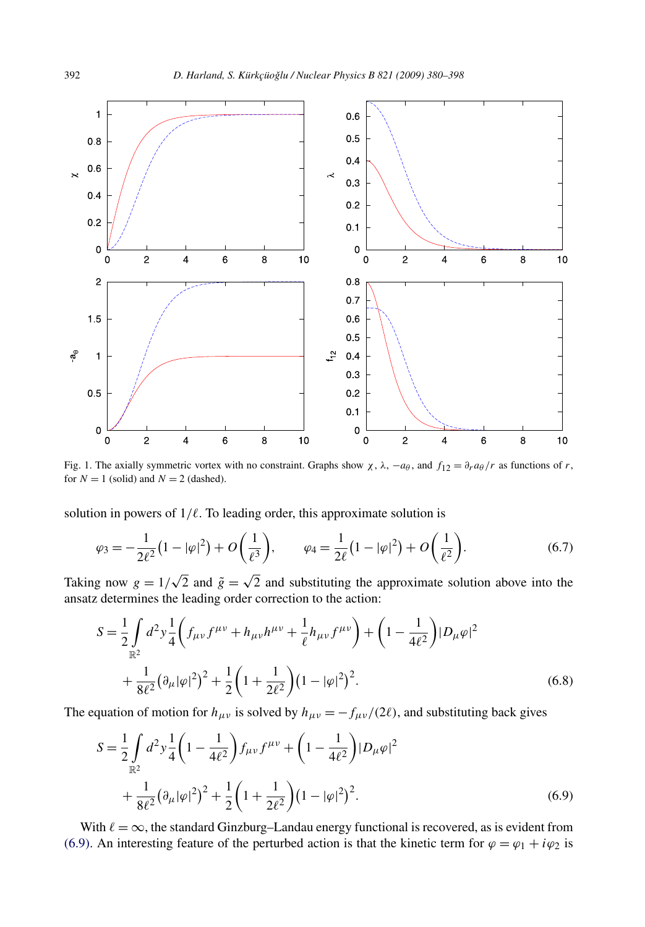<span id="page-12-0"></span>

Fig. 1. The axially symmetric vortex with no constraint. Graphs show  $\chi$ ,  $\lambda$ ,  $-a\theta$ , and  $f_{12} = \partial_r a\theta/r$  as functions of *r*, for  $N = 1$  (solid) and  $N = 2$  (dashed).

solution in powers of  $1/\ell$ . To leading order, this approximate solution is

$$
\varphi_3 = -\frac{1}{2\ell^2} \left( 1 - |\varphi|^2 \right) + O\left(\frac{1}{\ell^3}\right), \qquad \varphi_4 = \frac{1}{2\ell} \left( 1 - |\varphi|^2 \right) + O\left(\frac{1}{\ell^2}\right). \tag{6.7}
$$

Taking now  $g = 1/\sqrt{2}$  and  $\tilde{g} = \sqrt{2}$  and substituting the approximate solution above into the ansatz determines the leading order correction to the action:

$$
S = \frac{1}{2} \int_{\mathbb{R}^2} d^2 y \frac{1}{4} \left( f_{\mu\nu} f^{\mu\nu} + h_{\mu\nu} h^{\mu\nu} + \frac{1}{\ell} h_{\mu\nu} f^{\mu\nu} \right) + \left( 1 - \frac{1}{4\ell^2} \right) |D_{\mu}\varphi|^2
$$
  
+ 
$$
\frac{1}{8\ell^2} (\partial_{\mu} |\varphi|^2)^2 + \frac{1}{2} \left( 1 + \frac{1}{2\ell^2} \right) (1 - |\varphi|^2)^2.
$$
 (6.8)

The equation of motion for  $h_{\mu\nu}$  is solved by  $h_{\mu\nu} = -f_{\mu\nu}/(2\ell)$ , and substituting back gives

$$
S = \frac{1}{2} \int_{\mathbb{R}^2} d^2 y \frac{1}{4} \left( 1 - \frac{1}{4\ell^2} \right) f_{\mu\nu} f^{\mu\nu} + \left( 1 - \frac{1}{4\ell^2} \right) |D_{\mu}\varphi|^2
$$
  
+ 
$$
\frac{1}{8\ell^2} (\partial_{\mu} |\varphi|^2)^2 + \frac{1}{2} \left( 1 + \frac{1}{2\ell^2} \right) (1 - |\varphi|^2)^2.
$$
 (6.9)

With  $\ell = \infty$ , the standard Ginzburg–Landau energy functional is recovered, as is evident from (6.9). An interesting feature of the perturbed action is that the kinetic term for  $\varphi = \varphi_1 + i\varphi_2$  is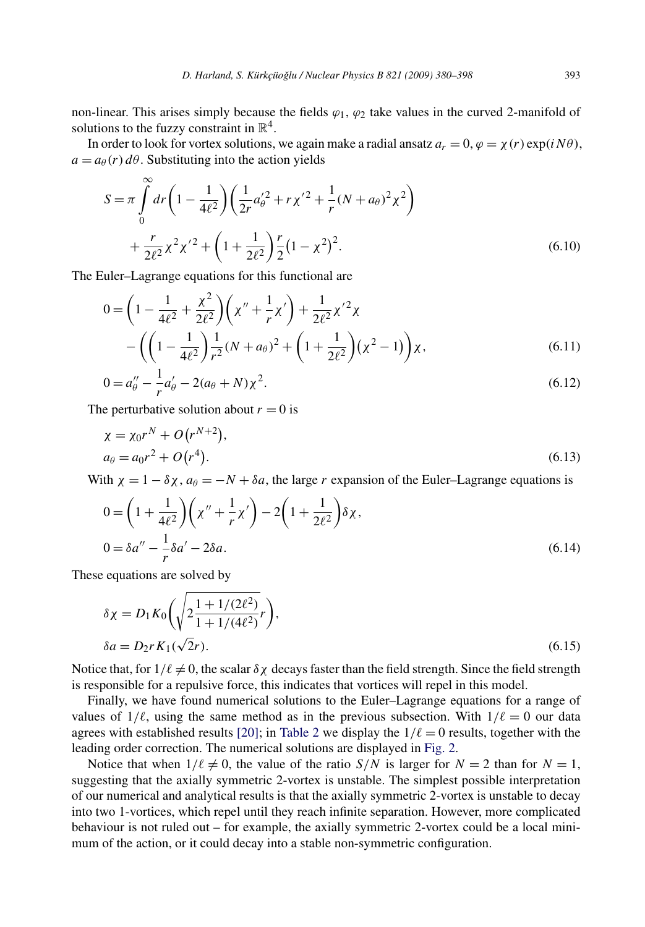non-linear. This arises simply because the fields  $\varphi_1$ ,  $\varphi_2$  take values in the curved 2-manifold of solutions to the fuzzy constraint in  $\mathbb{R}^4$ .

In order to look for vortex solutions, we again make a radial ansatz  $a_r = 0$ ,  $\varphi = \chi(r) \exp(i N \theta)$ ,  $a = a_{\theta}(r) d\theta$ . Substituting into the action yields

$$
S = \pi \int_{0}^{\infty} dr \left( 1 - \frac{1}{4\ell^2} \right) \left( \frac{1}{2r} a_{\theta}^{\prime 2} + r \chi^{\prime 2} + \frac{1}{r} (N + a_{\theta})^2 \chi^2 \right) + \frac{r}{2\ell^2} \chi^2 \chi^{\prime 2} + \left( 1 + \frac{1}{2\ell^2} \right) \frac{r}{2} (1 - \chi^2)^2.
$$
 (6.10)

The Euler–Lagrange equations for this functional are

$$
0 = \left(1 - \frac{1}{4\ell^2} + \frac{\chi^2}{2\ell^2}\right) \left(\chi'' + \frac{1}{r}\chi'\right) + \frac{1}{2\ell^2}\chi'^2 \chi - \left(\left(1 - \frac{1}{4\ell^2}\right)\frac{1}{r^2}(N + a_\theta)^2 + \left(1 + \frac{1}{2\ell^2}\right)(\chi^2 - 1)\right)\chi,
$$
(6.11)

$$
0 = a''_{\theta} - \frac{1}{r}a'_{\theta} - 2(a_{\theta} + N)\chi^2.
$$
\n(6.12)

The perturbative solution about  $r = 0$  is

$$
\chi = \chi_0 r^N + O(r^{N+2}),
$$
  
\n
$$
a_{\theta} = a_0 r^2 + O(r^4).
$$
\n(6.13)

With  $\chi = 1 - \delta \chi$ ,  $a_\theta = -N + \delta a$ , the large *r* expansion of the Euler–Lagrange equations is

$$
0 = \left(1 + \frac{1}{4\ell^2}\right)\left(\chi'' + \frac{1}{r}\chi'\right) - 2\left(1 + \frac{1}{2\ell^2}\right)\delta\chi,
$$
  

$$
0 = \delta a'' - \frac{1}{r}\delta a' - 2\delta a.
$$
 (6.14)

These equations are solved by

∞

$$
\delta \chi = D_1 K_0 \left( \sqrt{2 \frac{1 + 1/(2\ell^2)}{1 + 1/(4\ell^2)}} r \right),
$$
  
 
$$
\delta a = D_2 r K_1 (\sqrt{2}r).
$$
 (6.15)

Notice that, for  $1/\ell \neq 0$ , the scalar  $\delta \chi$  decays faster than the field strength. Since the field strength is responsible for a repulsive force, this indicates that vortices will repel in this model.

Finally, we have found numerical solutions to the Euler–Lagrange equations for a range of values of  $1/\ell$ , using the same method as in the previous subsection. With  $1/\ell = 0$  our data agrees with established results [\[20\];](#page-18-0) in [Table 2](#page-14-0) we display the  $1/\ell = 0$  results, together with the leading order correction. The numerical solutions are displayed in [Fig. 2.](#page-14-0)

Notice that when  $1/\ell \neq 0$ , the value of the ratio *S/N* is larger for  $N = 2$  than for  $N = 1$ , suggesting that the axially symmetric 2-vortex is unstable. The simplest possible interpretation of our numerical and analytical results is that the axially symmetric 2-vortex is unstable to decay into two 1-vortices, which repel until they reach infinite separation. However, more complicated behaviour is not ruled out – for example, the axially symmetric 2-vortex could be a local minimum of the action, or it could decay into a stable non-symmetric configuration.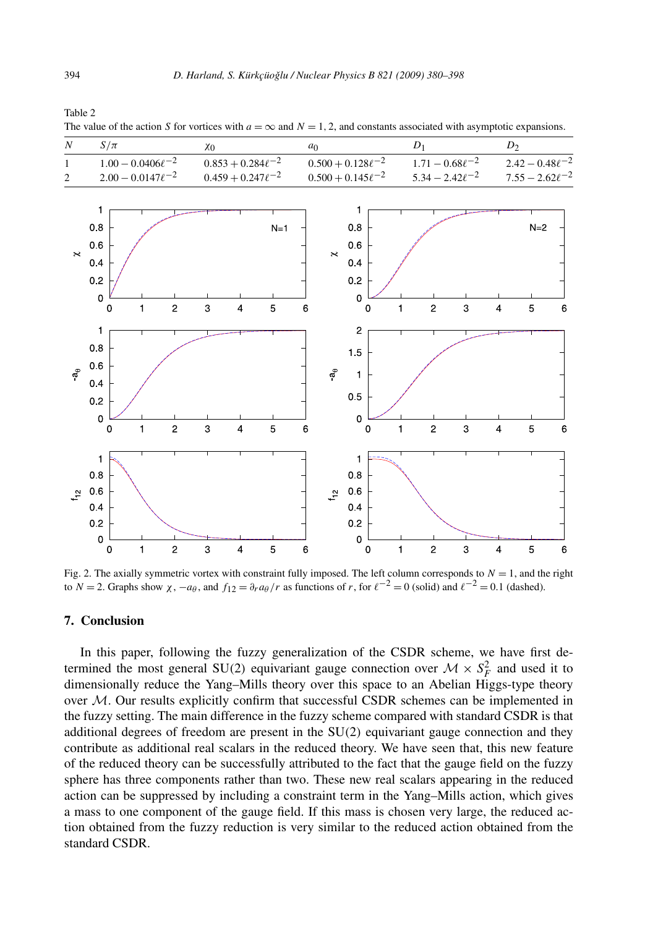| N                                    | $S/\pi$                                                               | X <sub>0</sub>                                            | a <sub>0</sub>                                                                  | ${\cal D}_1$                                   | ${\cal D}_2$                                                 |
|--------------------------------------|-----------------------------------------------------------------------|-----------------------------------------------------------|---------------------------------------------------------------------------------|------------------------------------------------|--------------------------------------------------------------|
| $\mathbf{1}$                         | $1.00 - 0.0406\ell^{-2}$                                              | $0.853 + 0.284 \ell^{-2}$                                 | $0.500 + 0.128\ell^{-2}$                                                        | $1.71 - 0.68\ell^{-2}$                         | $2.42 - 0.48\ell^{-2}$                                       |
| $\overline{\mathbf{c}}$<br>$\approx$ | $2.00 - 0.0147\ell^{-2}$<br>1<br>$0.8\,$<br>$0.6\,$<br>$0.4\,$        | $0.459 + 0.247\ell^{-2}$<br>$N=1$                         | $0.500 + 0.145\ell^{-2}$<br>1<br>0.8<br>$0.6\,$<br>$\boldsymbol{\times}$<br>0.4 | $5.34 - 2.42\ell^{-2}$                         | $7.55 - 2.62\ell^{-2}$<br>$N=2$                              |
|                                      | $0.2\,$<br>$\mathbf 0$<br>$\overline{c}$<br>$\pmb{0}$<br>$\mathbf{1}$ | 5<br>3<br>$\overline{\mathbf{4}}$                         | 0.2<br>$\pmb{0}$<br>6<br>$\pmb{0}$                                              | $\mathbf 2$<br>3<br>1                          | $\sqrt{5}$<br>$\overline{\mathbf{4}}$<br>6                   |
| $\mathfrak{a}_\theta$                | 1<br>$0.8\,$<br>$0.6\,$<br>$0.4\,$<br>$0.2\,$                         |                                                           | $\overline{c}$<br>1.5<br>$\sigma$<br>$\mathbf{1}$<br>$0.5\,$                    |                                                |                                                              |
|                                      | $\pmb{0}$<br>$\overline{c}$<br>$\mathbf{1}$<br>$\mathsf 0$<br>1       | $\mathbf{3}$<br>5<br>$\overline{\mathbf{4}}$              | 0<br>6<br>$\mathbf 0$<br>1                                                      | $\overline{c}$<br>$\mathbf{3}$<br>$\mathbf{1}$ | $\overline{5}$<br>$\overline{\mathbf{4}}$<br>$6\phantom{1}6$ |
| $\mathfrak{t}^2$                     | $0.8\,$<br>$0.6\,$<br>0.4<br>$0.2\,$                                  |                                                           | $0.8\,$<br>$0.6\,$<br>$t_{12}$<br>0.4<br>$0.2\,$                                |                                                |                                                              |
|                                      | $\pmb{0}$<br>$\mathbf 2$<br>$\mathbf 0$<br>1                          | $\ensuremath{\mathsf{3}}$<br>5<br>$\overline{\mathbf{4}}$ | $\pmb{0}$<br>$\,$ 6 $\,$<br>$\pmb{0}$                                           | $\mathbf 2$<br>3<br>1                          | 5<br>$\overline{\mathbf{4}}$<br>6                            |

<span id="page-14-0"></span>Table 2 The value of the action *S* for vortices with  $a = \infty$  and  $N = 1, 2$ , and constants associated with asymptotic expansions.

Fig. 2. The axially symmetric vortex with constraint fully imposed. The left column corresponds to  $N = 1$ , and the right to  $N = 2$ . Graphs show  $\chi$ ,  $-a\theta$ , and  $f_{12} = \frac{\partial r}{\partial \theta}$  *r* as functions of *r*, for  $\ell^{-2} = 0$  (solid) and  $\ell^{-2} = 0.1$  (dashed).

# **7. Conclusion**

In this paper, following the fuzzy generalization of the CSDR scheme, we have first determined the most general SU(2) equivariant gauge connection over  $M \times S_F^2$  and used it to dimensionally reduce the Yang–Mills theory over this space to an Abelian Higgs-type theory over  $M$ . Our results explicitly confirm that successful CSDR schemes can be implemented in the fuzzy setting. The main difference in the fuzzy scheme compared with standard CSDR is that additional degrees of freedom are present in the SU*(*2*)* equivariant gauge connection and they contribute as additional real scalars in the reduced theory. We have seen that, this new feature of the reduced theory can be successfully attributed to the fact that the gauge field on the fuzzy sphere has three components rather than two. These new real scalars appearing in the reduced action can be suppressed by including a constraint term in the Yang–Mills action, which gives a mass to one component of the gauge field. If this mass is chosen very large, the reduced action obtained from the fuzzy reduction is very similar to the reduced action obtained from the standard CSDR.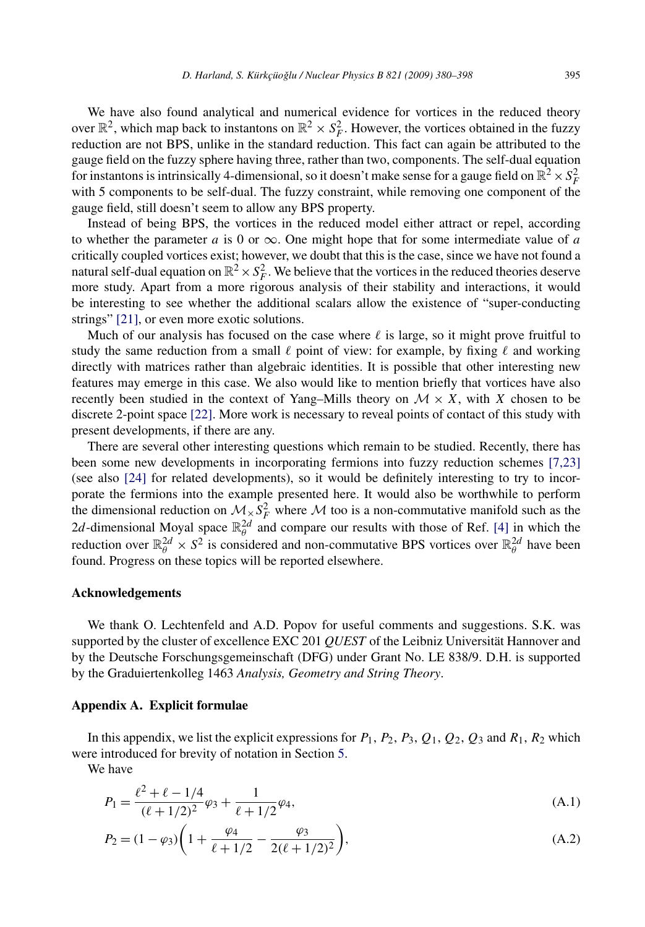<span id="page-15-0"></span>We have also found analytical and numerical evidence for vortices in the reduced theory over  $\mathbb{R}^2$ , which map back to instantons on  $\mathbb{R}^2 \times S_F^2$ . However, the vortices obtained in the fuzzy reduction are not BPS, unlike in the standard reduction. This fact can again be attributed to the gauge field on the fuzzy sphere having three, rather than two, components. The self-dual equation for instantons is intrinsically 4-dimensional, so it doesn't make sense for a gauge field on  $\mathbb{R}^2 \times S_F^2$ with 5 components to be self-dual. The fuzzy constraint, while removing one component of the gauge field, still doesn't seem to allow any BPS property.

Instead of being BPS, the vortices in the reduced model either attract or repel, according to whether the parameter  $a$  is 0 or  $\infty$ . One might hope that for some intermediate value of  $a$ critically coupled vortices exist; however, we doubt that this is the case, since we have not found a natural self-dual equation on  $\mathbb{R}^2 \times S_F^2$ . We believe that the vortices in the reduced theories deserve more study. Apart from a more rigorous analysis of their stability and interactions, it would be interesting to see whether the additional scalars allow the existence of "super-conducting strings" [\[21\],](#page-18-0) or even more exotic solutions.

Much of our analysis has focused on the case where  $\ell$  is large, so it might prove fruitful to study the same reduction from a small  $\ell$  point of view: for example, by fixing  $\ell$  and working directly with matrices rather than algebraic identities. It is possible that other interesting new features may emerge in this case. We also would like to mention briefly that vortices have also recently been studied in the context of Yang–Mills theory on  $\mathcal{M} \times X$ , with X chosen to be discrete 2-point space [\[22\].](#page-18-0) More work is necessary to reveal points of contact of this study with present developments, if there are any.

There are several other interesting questions which remain to be studied. Recently, there has been some new developments in incorporating fermions into fuzzy reduction schemes [\[7,23\]](#page-17-0) (see also [\[24\]](#page-18-0) for related developments), so it would be definitely interesting to try to incorporate the fermions into the example presented here. It would also be worthwhile to perform the dimensional reduction on  $\mathcal{M}_{\times} S_F^2$  where M too is a non-commutative manifold such as the 2*d*-dimensional Moyal space  $\mathbb{R}_{\theta}^{2d}$  and compare our results with those of Ref. [\[4\]](#page-17-0) in which the reduction over  $\mathbb{R}_{\theta}^{2d} \times S^2$  is considered and non-commutative BPS vortices over  $\mathbb{R}_{\theta}^{2d}$  have been found. Progress on these topics will be reported elsewhere.

#### **Acknowledgements**

We thank O. Lechtenfeld and A.D. Popov for useful comments and suggestions. S.K. was supported by the cluster of excellence EXC 201 *QUEST* of the Leibniz Universität Hannover and by the Deutsche Forschungsgemeinschaft (DFG) under Grant No. LE 838/9. D.H. is supported by the Graduiertenkolleg 1463 *Analysis, Geometry and String Theory*.

#### **Appendix A. Explicit formulae**

In this appendix, we list the explicit expressions for  $P_1$ ,  $P_2$ ,  $P_3$ ,  $Q_1$ ,  $Q_2$ ,  $Q_3$  and  $R_1$ ,  $R_2$  which were introduced for brevity of notation in Section [5.](#page-8-0)

We have

$$
P_1 = \frac{\ell^2 + \ell - 1/4}{(\ell + 1/2)^2} \varphi_3 + \frac{1}{\ell + 1/2} \varphi_4,\tag{A.1}
$$

$$
P_2 = (1 - \varphi_3) \left( 1 + \frac{\varphi_4}{\ell + 1/2} - \frac{\varphi_3}{2(\ell + 1/2)^2} \right),\tag{A.2}
$$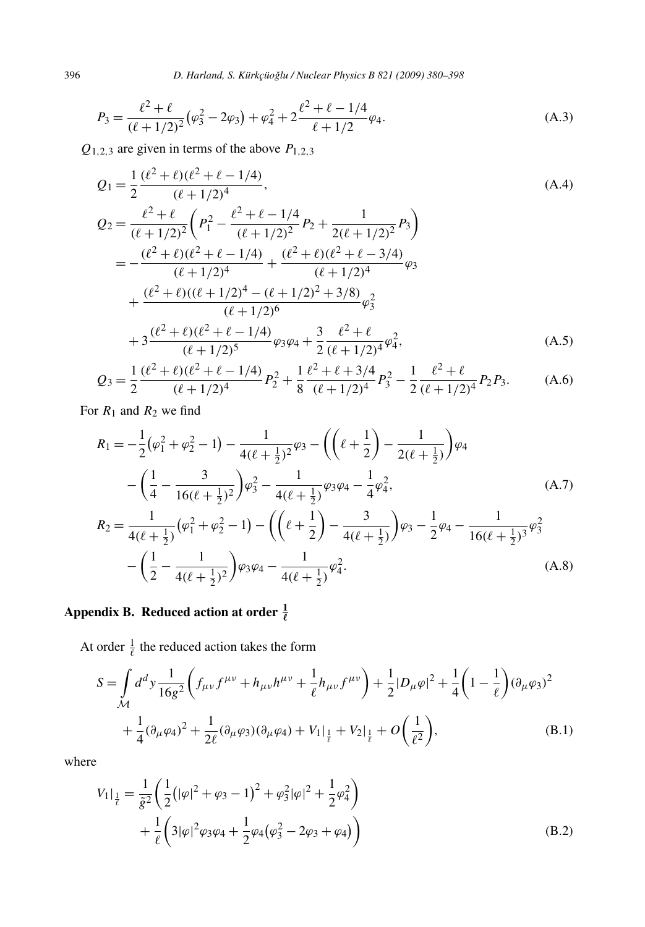$$
P_3 = \frac{\ell^2 + \ell}{(\ell + 1/2)^2} (\varphi_3^2 - 2\varphi_3) + \varphi_4^2 + 2 \frac{\ell^2 + \ell - 1/4}{\ell + 1/2} \varphi_4.
$$
 (A.3)

 $Q_{1,2,3}$  are given in terms of the above  $P_{1,2,3}$ 

$$
Q_1 = \frac{1}{2} \frac{(\ell^2 + \ell)(\ell^2 + \ell - 1/4)}{(\ell + 1/2)^4},
$$
\n
$$
Q_2 = \frac{\ell^2 + \ell}{(\ell + 1/2)^2} \left( P_1^2 - \frac{\ell^2 + \ell - 1/4}{(\ell + 1/2)^2} P_2 + \frac{1}{2(\ell + 1/2)^2} P_3 \right)
$$
\n
$$
= -\frac{(\ell^2 + \ell)(\ell^2 + \ell - 1/4)}{(\ell + 1/2)^4} + \frac{(\ell^2 + \ell)(\ell^2 + \ell - 3/4)}{(\ell + 1/2)^4} \varphi_3
$$
\n
$$
+ \frac{(\ell^2 + \ell)((\ell + 1/2)^4 - (\ell + 1/2)^2 + 3/8)}{(\ell + 1/2)^6} \varphi_3^2
$$
\n
$$
+ 3 \frac{(\ell^2 + \ell)(\ell^2 + \ell - 1/4)}{(\ell + 1/2)^5} \varphi_3 \varphi_4 + \frac{3}{2} \frac{\ell^2 + \ell}{(\ell + 1/2)^4} \varphi_4^2,
$$
\n(A.5)

$$
Q_3 = \frac{1}{2} \frac{(\ell^2 + \ell)(\ell^2 + \ell - 1/4)}{(\ell + 1/2)^4} P_2^2 + \frac{1}{8} \frac{\ell^2 + \ell + 3/4}{(\ell + 1/2)^4} P_3^2 - \frac{1}{2} \frac{\ell^2 + \ell}{(\ell + 1/2)^4} P_2 P_3. \tag{A.6}
$$

For  $R_1$  and  $R_2$  we find

$$
R_1 = -\frac{1}{2}(\varphi_1^2 + \varphi_2^2 - 1) - \frac{1}{4(\ell + \frac{1}{2})^2}\varphi_3 - \left((\ell + \frac{1}{2}) - \frac{1}{2(\ell + \frac{1}{2})}\right)\varphi_4
$$
  
 
$$
- \left(\frac{1}{4} - \frac{3}{16(\ell + \frac{1}{2})^2}\right)\varphi_3^2 - \frac{1}{4(\ell + \frac{1}{2})}\varphi_3\varphi_4 - \frac{1}{4}\varphi_4^2,
$$
 (A.7)  
\n
$$
R_2 = \frac{1}{4(\ell + \frac{1}{2})}(\varphi_1^2 + \varphi_2^2 - 1) - \left((\ell + \frac{1}{2}) - \frac{3}{4(\ell + \frac{1}{2})}\right)\varphi_3 - \frac{1}{2}\varphi_4 - \frac{1}{16(\ell + \frac{1}{2})^3}\varphi_3^2
$$
  
\n
$$
- \left(\frac{1}{2} - \frac{1}{4(\ell + \frac{1}{2})^2}\right)\varphi_3\varphi_4 - \frac{1}{4(\ell + \frac{1}{2})}\varphi_4^2.
$$
 (A.8)

# Appendix B. Reduced action at order  $\frac{1}{\ell}$

At order  $\frac{1}{\ell}$  the reduced action takes the form

$$
S = \int_{\mathcal{M}} d^d y \frac{1}{16g^2} \left( f_{\mu\nu} f^{\mu\nu} + h_{\mu\nu} h^{\mu\nu} + \frac{1}{\ell} h_{\mu\nu} f^{\mu\nu} \right) + \frac{1}{2} |D_\mu \varphi|^2 + \frac{1}{4} \left( 1 - \frac{1}{\ell} \right) (\partial_\mu \varphi_3)^2 + \frac{1}{4} (\partial_\mu \varphi_4)^2 + \frac{1}{2\ell} (\partial_\mu \varphi_3) (\partial_\mu \varphi_4) + V_1 |_{\frac{1}{\ell}} + V_2 |_{\frac{1}{\ell}} + O \left( \frac{1}{\ell^2} \right),
$$
 (B.1)

where

$$
V_1|_{\frac{1}{\ell}} = \frac{1}{\tilde{g}^2} \left( \frac{1}{2} \left( |\varphi|^2 + \varphi_3 - 1 \right)^2 + \varphi_3^2 |\varphi|^2 + \frac{1}{2} \varphi_4^2 \right) + \frac{1}{\ell} \left( 3|\varphi|^2 \varphi_3 \varphi_4 + \frac{1}{2} \varphi_4 (\varphi_3^2 - 2\varphi_3 + \varphi_4) \right)
$$
(B.2)

<span id="page-16-0"></span>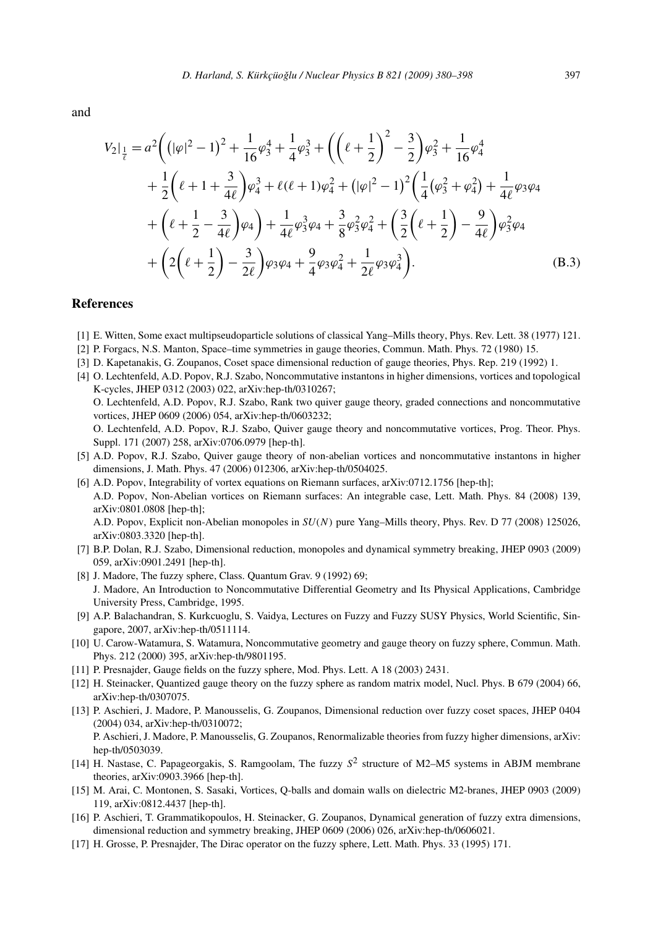<span id="page-17-0"></span>and

$$
V_{2}|_{\frac{1}{\ell}} = a^{2} \left( \left( |\varphi|^{2} - 1 \right)^{2} + \frac{1}{16} \varphi_{3}^{4} + \frac{1}{4} \varphi_{3}^{3} + \left( \left( \ell + \frac{1}{2} \right)^{2} - \frac{3}{2} \right) \varphi_{3}^{2} + \frac{1}{16} \varphi_{4}^{4} + \frac{1}{2} \left( \ell + 1 + \frac{3}{4\ell} \right) \varphi_{4}^{3} + \ell(\ell + 1) \varphi_{4}^{2} + \left( |\varphi|^{2} - 1 \right)^{2} \left( \frac{1}{4} (\varphi_{3}^{2} + \varphi_{4}^{2}) + \frac{1}{4\ell} \varphi_{3} \varphi_{4} + \left( \ell + \frac{1}{2} - \frac{3}{4\ell} \right) \varphi_{4} \right) + \frac{1}{4\ell} \varphi_{3}^{3} \varphi_{4} + \frac{3}{8} \varphi_{3}^{2} \varphi_{4}^{2} + \left( \frac{3}{2} \left( \ell + \frac{1}{2} \right) - \frac{9}{4\ell} \right) \varphi_{3}^{2} \varphi_{4} + \left( 2 \left( \ell + \frac{1}{2} \right) - \frac{3}{2\ell} \right) \varphi_{3} \varphi_{4} + \frac{9}{4} \varphi_{3} \varphi_{4}^{2} + \frac{1}{2\ell} \varphi_{3} \varphi_{4}^{3} \right).
$$
\n(B.3)

#### **References**

- [1] E. Witten, Some exact multipseudoparticle solutions of classical Yang–Mills theory, Phys. Rev. Lett. 38 (1977) 121.
- [2] P. Forgacs, N.S. Manton, Space–time symmetries in gauge theories, Commun. Math. Phys. 72 (1980) 15.
- [3] D. Kapetanakis, G. Zoupanos, Coset space dimensional reduction of gauge theories, Phys. Rep. 219 (1992) 1.
- [4] O. Lechtenfeld, A.D. Popov, R.J. Szabo, Noncommutative instantons in higher dimensions, vortices and topological K-cycles, JHEP 0312 (2003) 022, arXiv:hep-th/0310267; O. Lechtenfeld, A.D. Popov, R.J. Szabo, Rank two quiver gauge theory, graded connections and noncommutative vortices, JHEP 0609 (2006) 054, arXiv:hep-th/0603232; O. Lechtenfeld, A.D. Popov, R.J. Szabo, Quiver gauge theory and noncommutative vortices, Prog. Theor. Phys. Suppl. 171 (2007) 258, arXiv:0706.0979 [hep-th].
- [5] A.D. Popov, R.J. Szabo, Quiver gauge theory of non-abelian vortices and noncommutative instantons in higher dimensions, J. Math. Phys. 47 (2006) 012306, arXiv:hep-th/0504025.
- [6] A.D. Popov, Integrability of vortex equations on Riemann surfaces, arXiv:0712.1756 [hep-th]; A.D. Popov, Non-Abelian vortices on Riemann surfaces: An integrable case, Lett. Math. Phys. 84 (2008) 139, arXiv:0801.0808 [hep-th];

A.D. Popov, Explicit non-Abelian monopoles in *SU(N)* pure Yang–Mills theory, Phys. Rev. D 77 (2008) 125026, arXiv:0803.3320 [hep-th].

- [7] B.P. Dolan, R.J. Szabo, Dimensional reduction, monopoles and dynamical symmetry breaking, JHEP 0903 (2009) 059, arXiv:0901.2491 [hep-th].
- [8] J. Madore, The fuzzy sphere, Class. Quantum Grav. 9 (1992) 69; J. Madore, An Introduction to Noncommutative Differential Geometry and Its Physical Applications, Cambridge University Press, Cambridge, 1995.
- [9] A.P. Balachandran, S. Kurkcuoglu, S. Vaidya, Lectures on Fuzzy and Fuzzy SUSY Physics, World Scientific, Singapore, 2007, arXiv:hep-th/0511114.
- [10] U. Carow-Watamura, S. Watamura, Noncommutative geometry and gauge theory on fuzzy sphere, Commun. Math. Phys. 212 (2000) 395, arXiv:hep-th/9801195.
- [11] P. Presnajder, Gauge fields on the fuzzy sphere, Mod. Phys. Lett. A 18 (2003) 2431.
- [12] H. Steinacker, Quantized gauge theory on the fuzzy sphere as random matrix model, Nucl. Phys. B 679 (2004) 66, arXiv:hep-th/0307075.
- [13] P. Aschieri, J. Madore, P. Manousselis, G. Zoupanos, Dimensional reduction over fuzzy coset spaces, JHEP 0404 (2004) 034, arXiv:hep-th/0310072; P. Aschieri, J. Madore, P. Manousselis, G. Zoupanos, Renormalizable theories from fuzzy higher dimensions, arXiv: hep-th/0503039.
- [14] H. Nastase, C. Papageorgakis, S. Ramgoolam, The fuzzy *S*<sup>2</sup> structure of M2–M5 systems in ABJM membrane theories, arXiv:0903.3966 [hep-th].
- [15] M. Arai, C. Montonen, S. Sasaki, Vortices, Q-balls and domain walls on dielectric M2-branes, JHEP 0903 (2009) 119, arXiv:0812.4437 [hep-th].
- [16] P. Aschieri, T. Grammatikopoulos, H. Steinacker, G. Zoupanos, Dynamical generation of fuzzy extra dimensions, dimensional reduction and symmetry breaking, JHEP 0609 (2006) 026, arXiv:hep-th/0606021.
- [17] H. Grosse, P. Presnajder, The Dirac operator on the fuzzy sphere, Lett. Math. Phys. 33 (1995) 171.